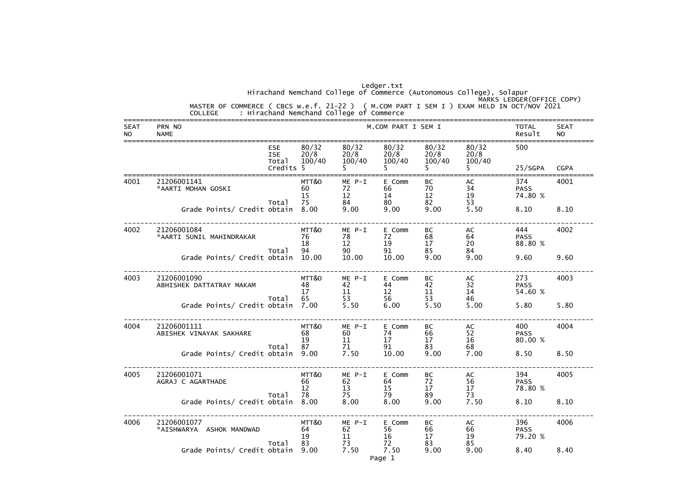|                          |                       |                                                                                                                                               |                                                |                         |                          | Ledger.txt               |                               | Hirachand Nemchand College of Commerce (Autonomous College), Solapur |                               |                          |
|--------------------------|-----------------------|-----------------------------------------------------------------------------------------------------------------------------------------------|------------------------------------------------|-------------------------|--------------------------|--------------------------|-------------------------------|----------------------------------------------------------------------|-------------------------------|--------------------------|
|                          |                       | MASTER OF COMMERCE ( CBCS w.e.f. 21-22 ) ( M.COM PART I SEM I ) EXAM HELD IN OCT/NOV 2021<br>COLLEGE : Hirachand Nemchand College of Commerce |                                                |                         |                          |                          |                               |                                                                      | MARKS LEDGER (OFFICE COPY)    |                          |
| <b>SEAT</b><br><b>NO</b> | PRN NO<br><b>NAME</b> |                                                                                                                                               |                                                |                         |                          | M.COM PART I SEM I       |                               |                                                                      | <b>TOTAL</b><br>Result        | <b>SEAT</b><br><b>NO</b> |
|                          |                       |                                                                                                                                               | <b>ESE</b><br><b>ISE</b><br>Total<br>Credits 5 | 80/32<br>20/8<br>100/40 | 80/32<br>20/8<br>100/40  | 80/32<br>20/8<br>100/40  | 80/32<br>20/8<br>100/40<br>5. | 80/32<br>20/8<br>100/40                                              | 500<br>25/SGPA                | <b>CGPA</b>              |
| 4001                     | 21206001141           | *AARTI MOHAN GOSKI                                                                                                                            | Total                                          | MTT&O<br>60<br>15<br>75 | ME P-I<br>72<br>12<br>84 | E Comm<br>66<br>14<br>80 | BC<br>70<br>12<br>82          | AC<br>34<br>19<br>53                                                 | 374<br><b>PASS</b><br>74.80 % | 4001                     |
|                          |                       | Grade Points/ Credit obtain 8.00                                                                                                              |                                                |                         | 9.00                     | 9.00                     | 9.00                          | 5.50                                                                 | 8.10                          | 8.10                     |
| 4002                     | 21206001084           | *AARTI SUNIL MAHINDRAKAR                                                                                                                      |                                                | MTT&O<br>76<br>18       | ME P-I<br>78<br>12       | E Comm<br>72<br>19<br>91 | BC<br>68<br>17<br>85          | AC<br>64<br>20                                                       | 444<br><b>PASS</b><br>88.80 % | 4002                     |
|                          |                       | Grade Points/ Credit obtain 10.00                                                                                                             | Total                                          | 94                      | 90<br>10.00              | 10.00                    | 9.00                          | 84<br>9.00                                                           | 9.60                          | 9.60                     |
| 4003                     | 21206001090           | ABHISHEK DATTATRAY MAKAM                                                                                                                      |                                                | MTT&O<br>48<br>17       | ME P-I<br>42<br>11       | E Comm<br>44<br>12       | BC<br>42<br>11                | AC<br>32<br>14                                                       | 273<br><b>PASS</b><br>54.60 % | 4003                     |
|                          |                       | Grade Points/ Credit obtain 7.00                                                                                                              | Total                                          | 65                      | 53<br>5.50               | 56<br>6.00               | 53<br>5.50                    | 46<br>5.00                                                           | 5.80                          | 5.80                     |
| 4004                     | 21206001111           | ABISHEK VINAYAK SAKHARE                                                                                                                       |                                                | MTT&O<br>68<br>19       | ME P-I<br>60<br>11       | E Comm<br>74<br>17       | BC<br>66<br>17                | AC<br>52<br>16                                                       | 400<br><b>PASS</b><br>80.00 % | 4004                     |
|                          |                       | Grade Points/ Credit obtain                                                                                                                   | Total                                          | 87<br>9.00              | 71<br>7.50               | 91<br>10.00              | 83<br>9.00                    | 68<br>7.00                                                           | 8.50                          | 8.50                     |
| 4005                     | 21206001071           | AGRAJ C AGARTHADE                                                                                                                             |                                                | MTT&O<br>66<br>12       | $ME P-I$<br>62<br>13     | E Comm<br>64<br>15       | BC<br>72<br>17                | AC<br>56<br>17                                                       | 394<br><b>PASS</b><br>78.80 % | 4005                     |
|                          |                       | Grade Points/ Credit obtain                                                                                                                   | Total                                          | 78<br>8.00              | 75<br>8.00               | 79<br>8.00               | 89<br>9.00                    | 73<br>7.50                                                           | 8.10                          | 8.10                     |
| 4006                     | 21206001077           | *AISHWARYA ASHOK MANDWAD                                                                                                                      |                                                | MTT&O<br>64<br>19       | ME P-I<br>62<br>11       | E Comm<br>56<br>16       | BC<br>66<br>17                | AC<br>66<br>19                                                       | 396<br><b>PASS</b><br>79.20 % | 4006                     |
|                          |                       | Grade Points/ Credit obtain                                                                                                                   | Total                                          | 83<br>9.00              | 73<br>7.50               | 72<br>7.50<br>Page 1     | 83<br>9.00                    | 85<br>9.00                                                           | 8.40                          | 8.40                     |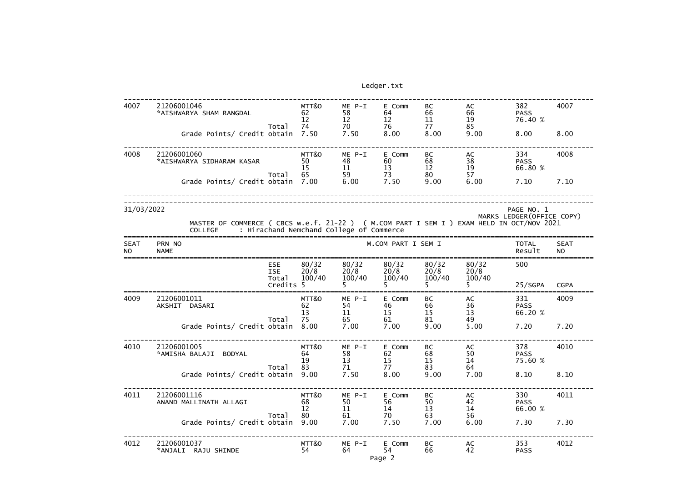| 21206001046<br>*AISHWARYA SHAM RANGDAL   |                          | MTT&O<br>62<br>12                                                                                                                                                                                             | $ME P-I$<br>58<br>12                              | E Comm<br>64<br>12                   | BC<br>66<br>11                                                                             | AC<br>66<br>19                                             | 382<br><b>PASS</b><br>76.40 %                     | 4007                                                                                                                                  |
|------------------------------------------|--------------------------|---------------------------------------------------------------------------------------------------------------------------------------------------------------------------------------------------------------|---------------------------------------------------|--------------------------------------|--------------------------------------------------------------------------------------------|------------------------------------------------------------|---------------------------------------------------|---------------------------------------------------------------------------------------------------------------------------------------|
|                                          |                          | 7.50                                                                                                                                                                                                          | 7.50                                              | 8.00                                 | 8.00                                                                                       | 9.00                                                       | 8.00                                              | 8.00                                                                                                                                  |
| 21206001060<br>*AISHWARYA SIDHARAM KASAR |                          | MTT&O<br>50<br>15                                                                                                                                                                                             | $ME P-I$<br>48<br>11                              | E Comm<br>60<br>13                   | BC<br>68<br>12                                                                             | AC<br>38                                                   | 334<br><b>PASS</b><br>66.80 %                     | 4008                                                                                                                                  |
|                                          |                          | 7.00                                                                                                                                                                                                          | 6.00                                              | 7.50                                 | 9.00                                                                                       | 6.00                                                       | 7.10                                              | 7.10                                                                                                                                  |
| 31/03/2022                               |                          |                                                                                                                                                                                                               |                                                   |                                      |                                                                                            |                                                            |                                                   |                                                                                                                                       |
| <b>COLLEGE</b>                           |                          |                                                                                                                                                                                                               |                                                   |                                      |                                                                                            |                                                            |                                                   |                                                                                                                                       |
| PRN NO<br><b>NAME</b>                    |                          |                                                                                                                                                                                                               |                                                   |                                      |                                                                                            |                                                            | <b>TOTAL</b><br>Result                            | <b>SEAT</b><br><b>NO</b>                                                                                                              |
|                                          | <b>ESE</b><br><b>ISE</b> | 80/32<br>20/8                                                                                                                                                                                                 | 80/32<br>20/8                                     | 80/32<br>20/8                        | 80/32<br>20/8                                                                              | 80/32<br>20/8                                              | 500                                               |                                                                                                                                       |
|                                          |                          |                                                                                                                                                                                                               |                                                   |                                      |                                                                                            |                                                            | 25/SGPA                                           | <b>CGPA</b>                                                                                                                           |
| 21206001011<br>AKSHIT DASARI             |                          | MTT&O<br>62<br>13                                                                                                                                                                                             | ME P-I<br>54<br>11                                | E Comm<br>46<br>15                   | BC<br>66<br>15                                                                             | AC<br>36<br>13                                             | 331<br><b>PASS</b><br>66.20 %                     | 4009                                                                                                                                  |
|                                          |                          | 8.00                                                                                                                                                                                                          | 7.00                                              | 7.00                                 | 9.00                                                                                       | 5.00                                                       | 7.20                                              | 7.20                                                                                                                                  |
| 21206001005<br>*AMISHA BALAJI BODYAL     |                          | MTT&O<br>64<br>19                                                                                                                                                                                             | ME P-I<br>58<br>13                                | E Comm<br>62<br>15                   | BC<br>68<br>15                                                                             | AC<br>50<br>14                                             | 378<br><b>PASS</b><br>75.60 %                     | 4010                                                                                                                                  |
|                                          |                          | 9.00                                                                                                                                                                                                          | 7.50                                              | 8.00                                 | 9.00                                                                                       | 7.00                                                       | 8.10                                              | 8.10                                                                                                                                  |
| 21206001116<br>ANAND MALLINATH ALLAGI    |                          | MTT&O<br>68<br>12                                                                                                                                                                                             | ME P-I<br>50<br>11                                | E Comm<br>56<br>14                   | BC<br>50<br>13                                                                             | AC<br>42<br>14                                             | 330<br><b>PASS</b><br>66.00 %                     | 4011                                                                                                                                  |
|                                          |                          | 9.00                                                                                                                                                                                                          | 7.00                                              | 7.50                                 | 7.00                                                                                       | 6.00                                                       | 7.30                                              | 7.30                                                                                                                                  |
| 21206001037<br>*ANJALI RAJU SHINDE       |                          | MTT&O<br>54                                                                                                                                                                                                   | ME P-I<br>64                                      | E Comm<br>54                         | BC<br>66                                                                                   | AC<br>42                                                   | 353<br><b>PASS</b>                                | 4012                                                                                                                                  |
|                                          |                          | Total<br>Grade Points/ Credit obtain<br>Total<br>Grade Points/ Credit obtain<br>Total<br>Total<br>Grade Points/ Credit obtain<br>Total<br>Grade Points/ Credit obtain<br>Total<br>Grade Points/ Credit obtain | 74<br>65<br>100/40<br>Credits 5<br>75<br>83<br>80 | 70<br>59<br>100/40<br>65<br>71<br>61 | 76<br>73<br>: Hirachand Nemchand College of Commerce<br>100/40<br>61<br>77<br>70<br>Page 2 | 77<br>80<br>M.COM PART I SEM I<br>100/40<br>81<br>83<br>63 | 85<br>$\frac{19}{57}$<br>100/40<br>49<br>64<br>56 | PAGE NO. 1<br>MARKS LEDGER (OFFICE COPY)<br>MASTER OF COMMERCE ( CBCS w.e.f. 21-22 ) ( M.COM PART I SEM I ) EXAM HELD IN OCT/NOV 2021 |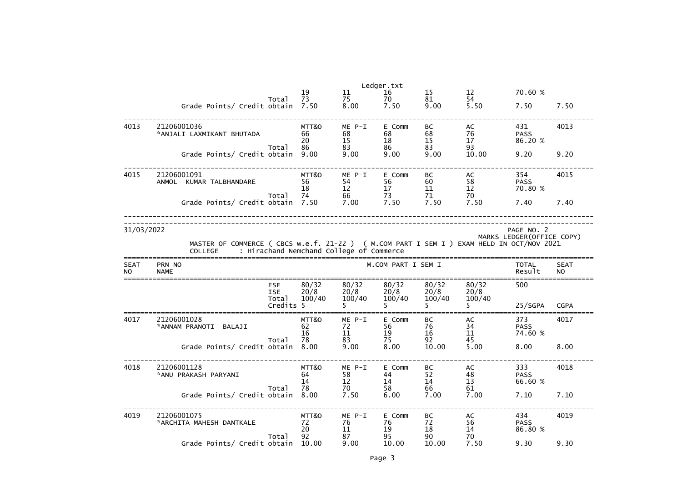|                    |                                                                                                             |                                                |                         |                                          | Ledger.txt               |                             |                         |                                          |                          |
|--------------------|-------------------------------------------------------------------------------------------------------------|------------------------------------------------|-------------------------|------------------------------------------|--------------------------|-----------------------------|-------------------------|------------------------------------------|--------------------------|
|                    |                                                                                                             |                                                | 19                      | 11                                       | 16                       | 15                          | $12 \overline{ }$       | 70.60 %                                  |                          |
|                    | Grade Points/ Credit obtain                                                                                 | Total                                          | 73<br>7.50              | 75<br>8.00                               | 70<br>7.50               | 81<br>9.00                  | 54<br>5.50              | 7.50                                     | 7.50                     |
| 4013               | 21206001036<br>*ANJALI LAXMIKANT BHUTADA                                                                    |                                                | MTT&O<br>66<br>20       | $ME P-I$<br>68<br>15                     | E Comm<br>68<br>18       | <b>BC</b><br>68<br>15       | AC<br>76<br>17          | 431<br><b>PASS</b><br>86.20 %            | 4013                     |
|                    | Grade Points/ Credit obtain                                                                                 | Total                                          | 86<br>9.00              | 83<br>9.00                               | 86<br>9.00               | 83<br>9.00                  | 93<br>10.00             | 9.20                                     | 9.20                     |
| 4015               | 21206001091<br>ANMOL KUMAR TALBHANDARE                                                                      | Total                                          | MTT&O<br>56<br>18<br>74 | ME P-I<br>54<br>12<br>66                 | E Comm<br>56<br>17<br>73 | <b>BC</b><br>60<br>11<br>71 | AC<br>58<br>12<br>70    | 354<br><b>PASS</b><br>70.80 %            | 4015                     |
|                    | Grade Points/ Credit obtain 7.50                                                                            |                                                |                         | 7.00                                     | 7.50                     | 7.50                        | 7.50                    | 7.40                                     | 7.40                     |
| 31/03/2022         | MASTER OF COMMERCE ( CBCS w.e.f. 21-22 ) ( M.COM PART I SEM I ) EXAM HELD IN OCT/NOV 2021<br><b>COLLEGE</b> |                                                |                         | : Hirachand Nemchand College of Commerce |                          |                             |                         | PAGE NO. 2<br>MARKS LEDGER (OFFICE COPY) |                          |
| <b>SEAT</b><br>NO. | PRN NO<br><b>NAME</b>                                                                                       |                                                |                         |                                          | M.COM PART I SEM I       |                             |                         | <b>TOTAL</b><br>Result                   | <b>SEAT</b><br><b>NO</b> |
|                    |                                                                                                             | <b>ESE</b><br><b>ISE</b><br>Total<br>Credits 5 | 80/32<br>20/8<br>100/40 | 80/32<br>20/8<br>100/40                  | 80/32<br>20/8<br>100/40  | 80/32<br>20/8<br>100/40     | 80/32<br>20/8<br>100/40 | 500<br>25/SGPA                           | <b>CGPA</b>              |
| 4017               | 21206001028<br>*ANNAM PRANOTI<br>BALAJI                                                                     | Total                                          | MTT&O<br>62<br>16<br>78 | ME P-I<br>72<br>11<br>83                 | E Comm<br>56<br>19<br>75 | <b>BC</b><br>76<br>16<br>92 | AC<br>34<br>11<br>45    | 373<br><b>PASS</b><br>74.60 %            | 4017                     |
|                    | Grade Points/ Credit obtain 8.00                                                                            |                                                |                         | 9.00                                     | 8.00                     | 10.00                       | 5.00                    | 8.00                                     | 8.00                     |
| 4018               | 21206001128<br>*ANU PRAKASH PARYANI                                                                         | Total                                          | MTT&O<br>64<br>14<br>78 | ME P-I<br>58<br>12<br>70                 | E Comm<br>44<br>14<br>58 | BC<br>52<br>14<br>66        | AC<br>48<br>13<br>61    | 333<br><b>PASS</b><br>66.60 %            | 4018                     |
|                    | Grade Points/ Credit obtain                                                                                 |                                                | 8.00                    | 7.50                                     | 6.00                     | 7.00                        | 7.00                    | 7.10                                     | 7.10                     |
| 4019               | 21206001075<br>*ARCHITA MAHESH DANTKALE                                                                     | Total                                          | MTT&O<br>72<br>20<br>92 | ME P-I<br>76<br>11<br>87                 | E Comm<br>76<br>19<br>95 | BC<br>72<br>18<br>90        | AC<br>56<br>14<br>70    | 434<br><b>PASS</b><br>86.80 %            | 4019                     |
|                    | Grade Points/ Credit obtain                                                                                 |                                                | 10.00                   | 9.00                                     | 10.00                    | 10.00                       | 7.50                    | 9.30                                     | 9.30                     |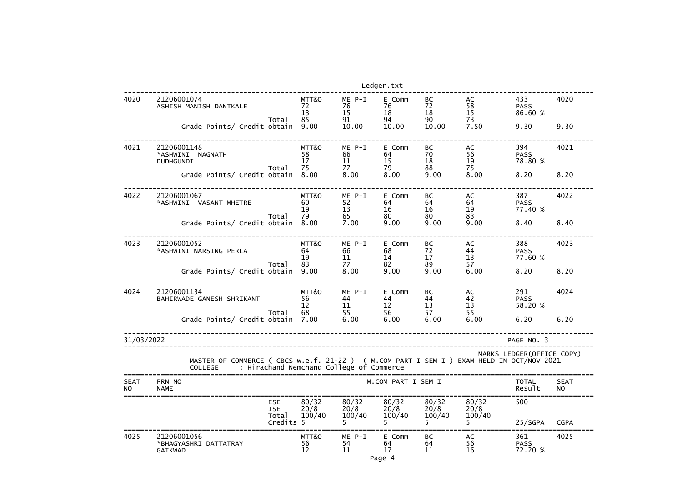|                          |                                                                                                             |                                   |                         |                                          | Ledger.txt                   |                         |                         |                               |                          |
|--------------------------|-------------------------------------------------------------------------------------------------------------|-----------------------------------|-------------------------|------------------------------------------|------------------------------|-------------------------|-------------------------|-------------------------------|--------------------------|
| 4020                     | 21206001074<br>ASHISH MANISH DANTKALE                                                                       | Total                             | MTT&O<br>72<br>13<br>85 | $ME P-I$<br>76<br>15<br>91               | E Comm<br>76<br>18<br>94     | BC<br>72<br>18<br>90    | AC<br>58<br>15<br>73    | 433<br><b>PASS</b><br>86.60 % | 4020                     |
|                          | Grade Points/ Credit obtain                                                                                 |                                   | 9.00                    | 10.00                                    | 10.00                        | 10.00                   | 7.50                    | 9.30                          | 9.30                     |
| 4021                     | 21206001148<br>*ASHWINI<br><b>NAGNATH</b><br><b>DUDHGUNDI</b>                                               | Total                             | MTT&O<br>58<br>17<br>75 | $ME P-I$<br>66<br>11<br>77               | E Comm<br>64<br>15<br>79     | BC<br>70<br>18<br>88    | AC<br>56<br>19<br>75    | 394<br><b>PASS</b><br>78.80 % | 4021                     |
|                          | Grade Points/ Credit obtain                                                                                 |                                   | 8.00                    | 8.00                                     | 8.00                         | 9.00                    | 8.00                    | 8.20                          | 8.20                     |
| 4022                     | 21206001067<br>*ASHWINI VASANT MHETRE                                                                       | Total                             | MTT&O<br>60<br>19<br>79 | $ME P-I$<br>52<br>13<br>65               | E Comm<br>64<br>16<br>80     | BC<br>64<br>16<br>80    | AC<br>64<br>19<br>83    | 387<br><b>PASS</b><br>77.40 % | 4022                     |
|                          | Grade Points/ Credit obtain                                                                                 |                                   | 8.00                    | 7.00                                     | 9.00                         | 9.00                    | 9.00                    | 8.40                          | 8.40                     |
| 4023                     | 21206001052<br>*ASHWINI NARSING PERLA                                                                       | Total                             | MTT&O<br>64<br>19<br>83 | $ME P-I$<br>66<br>11<br>77               | E Comm<br>68<br>14<br>82     | BC<br>72<br>17<br>89    | AC<br>44<br>13<br>57    | 388<br><b>PASS</b><br>77.60 % | 4023                     |
|                          | Grade Points/ Credit obtain                                                                                 |                                   | 9.00                    | 8.00                                     | 9.00                         | 9.00                    | 6.00                    | 8.20                          | 8.20                     |
| 4024                     | 21206001134<br>BAHIRWADE GANESH SHRIKANT                                                                    |                                   | MTT&O<br>56<br>12       | $ME P-I$<br>44<br>11                     | E Comm<br>44<br>12<br>56     | BC<br>44<br>13          | AC<br>42<br>13          | 291<br><b>PASS</b><br>58.20 % | 4024                     |
|                          | Grade Points/ Credit obtain                                                                                 | Total                             | 68<br>7.00              | 55<br>6.00                               | 6.00                         | 57<br>6.00              | 55<br>6.00              | 6.20                          | 6.20                     |
| 31/03/2022               |                                                                                                             |                                   |                         |                                          |                              |                         |                         | PAGE NO. 3                    |                          |
|                          | MASTER OF COMMERCE ( CBCS w.e.f. 21-22 ) ( M.COM PART I SEM I ) EXAM HELD IN OCT/NOV 2021<br><b>COLLEGE</b> |                                   |                         | : Hirachand Nemchand College of Commerce |                              |                         |                         | MARKS LEDGER (OFFICE COPY)    |                          |
| <b>SEAT</b><br><b>NO</b> | PRN NO<br><b>NAME</b>                                                                                       |                                   |                         |                                          | M.COM PART I SEM I           |                         |                         | <b>TOTAL</b><br>Result        | <b>SEAT</b><br><b>NO</b> |
|                          |                                                                                                             | <b>ESE</b><br><b>ISE</b><br>Total | 80/32<br>20/8<br>100/40 | 80/32<br>20/8<br>100/40                  | 80/32<br>20/8<br>100/40      | 80/32<br>20/8<br>100/40 | 80/32<br>20/8<br>100/40 | 500                           |                          |
|                          |                                                                                                             | Credits 5                         |                         |                                          | 5.                           | 5.                      |                         | 25/SGPA                       | <b>CGPA</b>              |
| 4025                     | 21206001056<br>*BHAGYASHRI DATTATRAY<br><b>GAIKWAD</b>                                                      |                                   | MTT&O<br>56<br>12       | $ME$ $P-I$<br>54<br>11                   | E Comm<br>64<br>17<br>Page 4 | BC<br>64<br>11          | AC<br>56<br>16          | 361<br><b>PASS</b><br>72.20 % | 4025                     |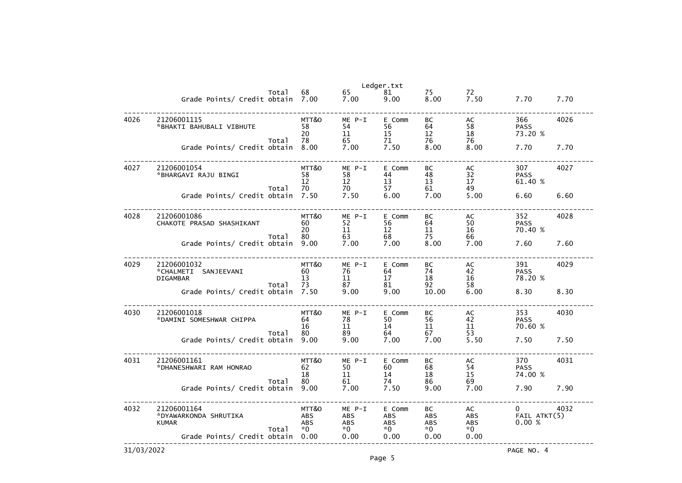|            |                                                        |       |                                         |                                              | Ledger.txt                          |                                        |                                        |                                         |      |
|------------|--------------------------------------------------------|-------|-----------------------------------------|----------------------------------------------|-------------------------------------|----------------------------------------|----------------------------------------|-----------------------------------------|------|
|            | Grade Points/ Credit obtain 7.00                       | Total | 68                                      | 65<br>7.00                                   | 81<br>9.00                          | 75<br>8.00                             | 72<br>7.50                             | 7.70                                    | 7.70 |
| 4026       | 21206001115<br>*BHAKTI BAHUBALI VIBHUTE                |       | MTT&O<br>58<br>20                       | ME P-I<br>54<br>11                           | E Comm<br>56<br>15                  | BC<br>64<br>12                         | AC<br>58<br>18                         | 366<br><b>PASS</b><br>73.20 %           | 4026 |
|            | Grade Points/ Credit obtain                            | Total | 78<br>8.00                              | 65<br>7.00                                   | 71<br>7.50                          | 76<br>8.00                             | 76<br>8.00                             | 7.70                                    | 7.70 |
| 4027       | 21206001054<br>*BHARGAVI RAJU BINGI                    | Total | MTT&O<br>58<br>12<br>70                 | ME P-I<br>58<br>12<br>70                     | E Comm<br>44<br>13<br>57            | BC<br>48<br>13<br>61                   | AC<br>32<br>17<br>49                   | 307<br><b>PASS</b><br>61.40 %           | 4027 |
|            | Grade Points/ Credit obtain                            |       | 7.50                                    | 7.50                                         | 6.00                                | 7.00                                   | 5.00                                   | 6.60                                    | 6.60 |
| 4028       | 21206001086<br>CHAKOTE PRASAD SHASHIKANT               | Total | MTT&O<br>60<br>20<br>80                 | ME P-I<br>52<br>11<br>63                     | E Comm<br>56<br>12<br>68            | BC<br>64<br>11<br>75                   | AC<br>50<br>16<br>66                   | 352<br><b>PASS</b><br>70.40 %           | 4028 |
|            | Grade Points/ Credit obtain                            |       | 9.00                                    | 7.00                                         | 7.00                                | 8.00                                   | 7.00                                   | 7.60                                    | 7.60 |
| 4029       | 21206001032<br>*CHALMETI SANJEEVANI<br><b>DIGAMBAR</b> | Total | MTT&O<br>60<br>13<br>73                 | ME P-I<br>76<br>11<br>87                     | E Comm<br>64<br>17<br>81            | BC<br>74<br>18<br>92                   | AC<br>42<br>16<br>58                   | 391<br><b>PASS</b><br>78.20 %           | 4029 |
|            | Grade Points/ Credit obtain                            |       | 7.50                                    | 9.00                                         | 9.00                                | 10.00                                  | 6.00                                   | 8.30                                    | 8.30 |
| 4030       | 21206001018<br>*DAMINI SOMESHWAR CHIPPA                | Total | MTT&O<br>64<br>16<br>80                 | $ME P-I$<br>78<br>11<br>89                   | E Comm<br>50<br>14<br>64            | BC<br>56<br>11<br>67                   | AC<br>42<br>11<br>53                   | 353<br><b>PASS</b><br>70.60 %           | 4030 |
|            | Grade Points/ Credit obtain 9.00                       |       |                                         | 9.00                                         | 7.00                                | 7.00                                   | 5.50                                   | 7.50                                    | 7.50 |
| 4031       | 21206001161<br>*DHANESHWARI RAM HONRAO                 | Total | MTT&O<br>62<br>18<br>80                 | $ME P-I$<br>50<br>11<br>61                   | E Comm<br>60<br>14<br>74            | BC<br>68<br>18<br>86                   | AC<br>54<br>15<br>69                   | 370<br><b>PASS</b><br>74.00 %           | 4031 |
|            | Grade Points/ Credit obtain                            |       | 9.00                                    | 7.00                                         | 7.50                                | 9.00                                   | 7.00                                   | 7.90                                    | 7.90 |
| 4032       | 21206001164<br>*DYAWARKONDA SHRUTIKA<br><b>KUMAR</b>   | Total | MTT&O<br><b>ABS</b><br><b>ABS</b><br>*0 | $ME P-I$<br><b>ABS</b><br><b>ABS</b><br>$*0$ | E Comm<br><b>ABS</b><br>ABS<br>$*0$ | BC<br><b>ABS</b><br><b>ABS</b><br>$*0$ | AC<br><b>ABS</b><br><b>ABS</b><br>$*0$ | $\overline{0}$<br>FAIL ATKT(5)<br>0.00% | 4032 |
|            | Grade Points/ Credit obtain                            |       | 0.00                                    | 0.00                                         | 0.00                                | 0.00                                   | 0.00                                   |                                         |      |
| 31/03/2022 |                                                        |       |                                         |                                              |                                     |                                        |                                        | PAGE NO. 4                              |      |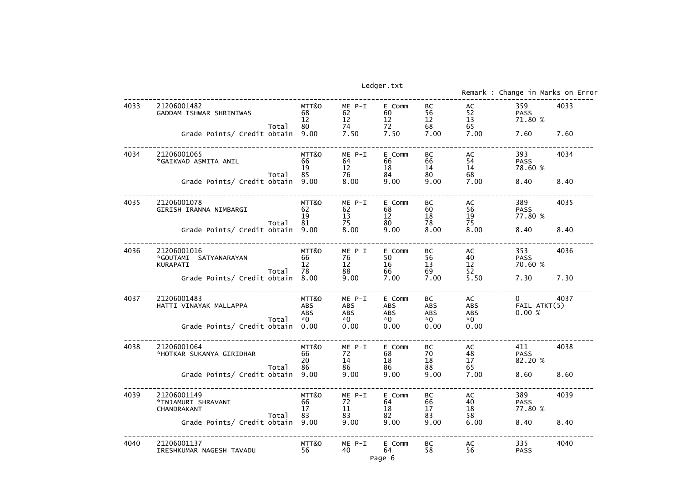|      |                                                                                               |                                                   |                                      | Ledger.txt                                      |                                                |                                         | Remark : Change in Marks on Erro      |              |
|------|-----------------------------------------------------------------------------------------------|---------------------------------------------------|--------------------------------------|-------------------------------------------------|------------------------------------------------|-----------------------------------------|---------------------------------------|--------------|
| 4033 | 21206001482<br>GADDAM ISHWAR SHRINIWAS<br>Total<br>Grade Points/ Credit obtain                | MTT&O<br>68<br>12<br>80<br>9.00                   | ME P-I<br>62<br>12<br>74<br>7.50     | E Comm<br>60<br>$12 \overline{ }$<br>72<br>7.50 | BC<br>56<br>12<br>68<br>7.00                   | AC<br>52<br>13<br>65<br>7.00            | 359<br><b>PASS</b><br>71.80 %<br>7.60 | 4033<br>7.60 |
| 4034 | 21206001065<br>*GAIKWAD ASMITA ANIL<br>Total<br>Grade Points/ Credit obtain                   | MTT&O<br>66<br>19<br>85<br>9.00                   | ME P-I<br>64<br>12<br>76<br>8.00     | E Comm<br>66<br>18<br>84<br>9.00                | BC<br>66<br>14<br>80<br>9.00                   | AC<br>54<br>14<br>68<br>7.00            | 393<br><b>PASS</b><br>78.60 %<br>8.40 | 4034<br>8.40 |
| 4035 | 21206001078<br>GIRISH IRANNA NIMBARGI<br>Total<br>Grade Points/ Credit obtain                 | MTT&O<br>62<br>19<br>81<br>9.00                   | ME P-I<br>62<br>13<br>75<br>8.00     | E Comm<br>68<br>$12 \overline{ }$<br>80<br>9.00 | BC<br>60<br>18<br>78<br>8.00                   | AC<br>56<br>19<br>75<br>8.00            | 389<br><b>PASS</b><br>77.80 %<br>8.40 | 4035<br>8.40 |
| 4036 | 21206001016<br>*GOUTAMI SATYANARAYAN<br>KURAPATI<br>Total<br>Grade Points/ Credit obtain      | MTT&O<br>66<br>12<br>78<br>8.00                   | ME P-I<br>76<br>12<br>88<br>9.00     | E Comm<br>50<br>16<br>66<br>7.00                | BC<br>56<br>13<br>69<br>7.00                   | AC<br>40<br>12<br>52<br>5.50            | 353<br><b>PASS</b><br>70.60 %<br>7.30 | 4036<br>7.30 |
| 4037 | 21206001483<br>HATTI VINAYAK MALLAPPA<br>Total<br>Grade Points/ Credit obtain                 | MTT&O<br><b>ABS</b><br><b>ABS</b><br>$*0$<br>0.00 | ME P-I<br>ABS<br>ABS<br>$*0$<br>0.00 | E Comm<br>ABS<br>ABS<br>$*0$<br>0.00            | BC<br><b>ABS</b><br><b>ABS</b><br>$*0$<br>0.00 | AC<br>ABS<br><b>ABS</b><br>$*0$<br>0.00 | $\mathbf{0}$<br>FAIL ATKT(5)<br>0.00% | 4037         |
| 4038 | 21206001064<br>*HOTKAR SUKANYA GIRIDHAR<br>Total<br>Grade Points/ Credit obtain 9.00          | MTT&O<br>66<br>20<br>86                           | ME P-I<br>72<br>14<br>86<br>9.00     | E Comm<br>68<br>18<br>86<br>9.00                | BC<br>70<br>18<br>88<br>9.00                   | AC<br>48<br>17<br>65<br>7.00            | 411<br><b>PASS</b><br>82.20 %<br>8.60 | 4038<br>8.60 |
| 4039 | 21206001149<br>*INJAMURI SHRAVANI<br>CHANDRAKANT<br>Total<br>Grade Points/ Credit obtain 9.00 | MTT&O<br>66<br>17<br>83                           | ME P-I<br>72<br>11<br>83<br>9.00     | E Comm<br>64<br>18<br>82<br>9.00                | BC<br>66<br>17 <sup>2</sup><br>83<br>9.00      | AC<br>40<br>18<br>58<br>6.00            | 389<br><b>PASS</b><br>77.80 %<br>8.40 | 4039<br>8.40 |
| 4040 | 21206001137<br>IRESHKUMAR NAGESH TAVADU                                                       | MTT&O<br>56                                       | ME P-I<br>40                         | E Comm<br>64<br>Page 6                          | BC<br>58                                       | AC<br>56                                | 335<br><b>PASS</b>                    | 4040         |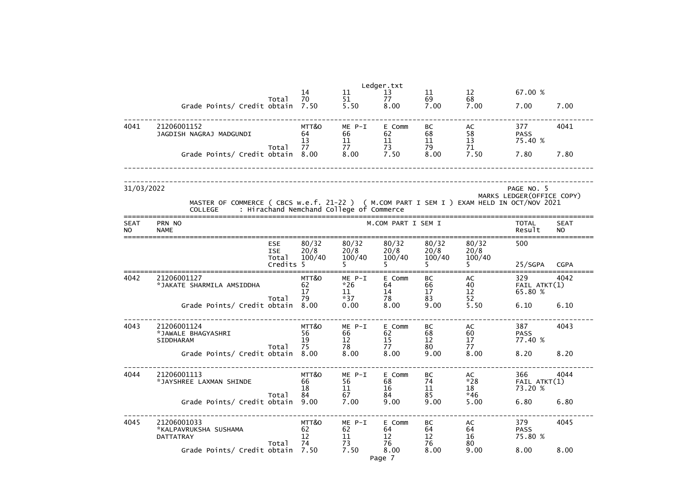|                          |                                                                                                                                               |           |                                        |                          | Ledger.txt               |                         |                            |                                          |                          |
|--------------------------|-----------------------------------------------------------------------------------------------------------------------------------------------|-----------|----------------------------------------|--------------------------|--------------------------|-------------------------|----------------------------|------------------------------------------|--------------------------|
|                          |                                                                                                                                               | Total     | 14<br>70                               | 11<br>51                 | 13<br>77                 | 11<br>69                | $12 \overline{ }$<br>68    | 67.00 %                                  |                          |
|                          | Grade Points/ Credit obtain 7.50                                                                                                              |           |                                        | 5.50                     | 8.00                     | 7.00                    | 7.00                       | 7.00                                     | 7.00                     |
| 4041                     | 21206001152<br>JAGDISH NAGRAJ MADGUNDI                                                                                                        |           | MTT&O<br>64<br>13                      | ME P-I<br>66<br>11       | E Comm<br>62<br>11       | BC<br>68<br>11          | AC<br>58<br>13             | 377<br><b>PASS</b><br>75.40 %            | 4041                     |
|                          | Grade Points/ Credit obtain 8.00                                                                                                              | Total     | 77                                     | 77<br>8.00 7.50          | 73                       | 79<br>8.00              | 71<br>7.50                 | 7.80                                     | 7.80                     |
| 31/03/2022               | MASTER OF COMMERCE ( CBCS w.e.f. 21-22 ) ( M.COM PART I SEM I ) EXAM HELD IN OCT/NOV 2021<br>COLLEGE : Hirachand Nemchand College of Commerce |           |                                        |                          |                          |                         |                            | PAGE NO. 5<br>MARKS LEDGER (OFFICE COPY) |                          |
| <b>SEAT</b><br><b>NO</b> | PRN NO<br><b>NAME</b>                                                                                                                         |           |                                        |                          | M.COM PART I SEM I       |                         |                            | <b>TOTAL</b><br>Result                   | <b>SEAT</b><br><b>NO</b> |
|                          | <b>ESE</b><br><b>ISE</b>                                                                                                                      | Total     | 80/32<br>20/8<br>100/40                | 80/32<br>20/8<br>100/40  | 80/32<br>20/8<br>100/40  | 80/32<br>20/8<br>100/40 | 80/32<br>20/8<br>100/40    | 500                                      |                          |
|                          |                                                                                                                                               | Credits 5 |                                        |                          |                          |                         |                            | 25/SGPA                                  | <b>CGPA</b>              |
| 4042                     | 21206001127<br>*JAKATE SHARMILA AMSIDDHA                                                                                                      |           | MTT&O<br>62<br>17                      | ME P-I<br>$*26$<br>11    | E Comm<br>64<br>14       | BC<br>66<br>17          | AC<br>40<br>12             | 329<br>$FAIL$ $ATKT(1)$<br>65.80 %       | 4042                     |
|                          | Grade Points/ Credit obtain                                                                                                                   | Total     | 79<br>8,00                             | $*37$<br>0.00            | 78<br>8.00               | 83<br>9.00              | 52<br>5.50                 | 6.10                                     | 6.10                     |
| 4043                     | 21206001124<br>*JAWALE BHAGYASHRI<br>SIDDHARAM                                                                                                | Total     | MTT&O<br>56<br>19<br>75                | ME P-I<br>66<br>12<br>78 | E Comm<br>62<br>15<br>77 | BC<br>68<br>12<br>80    | AC<br>60<br>17<br>77       | 387<br><b>PASS</b><br>77.40 %            | 4043                     |
|                          | Grade Points/ Credit obtain 8.00                                                                                                              |           |                                        | 8.00                     | 8.00                     | 9.00                    | 8.00                       | 8.20                                     | 8.20                     |
| 4044                     | 21206001113<br>*JAYSHREE LAXMAN SHINDE                                                                                                        | Total     | MTT&O<br>66<br>18<br>84                | ME P-I<br>56<br>11<br>67 | E Comm<br>68<br>16<br>84 | BC<br>74<br>11<br>85    | AC<br>$*28$<br>18<br>$*46$ | 366<br>$FAIL$ $ATKT(1)$<br>73.20 %       | 4044                     |
|                          | Grade Points/ Credit obtain                                                                                                                   |           | 9.00                                   | 7.00                     | 9.00                     | 9.00                    | 5.00                       | 6.80                                     | 6.80                     |
| 4045                     | 21206001033<br>*KALPAVRUKSHA SUSHAMA<br>DATTATRAY                                                                                             | Total     | MTT&O<br>62<br>$12 \overline{ }$<br>74 | ME P-I<br>62<br>11<br>73 | E Comm<br>64<br>12<br>76 | BC<br>64<br>12<br>76    | AC<br>64<br>16<br>80       | 379<br><b>PASS</b><br>75.80 %            | 4045                     |
|                          | Grade Points/ Credit obtain 7.50                                                                                                              |           |                                        | 7.50                     | 8.00<br>Page 7           | 8.00                    | 9.00                       | 8.00                                     | 8.00                     |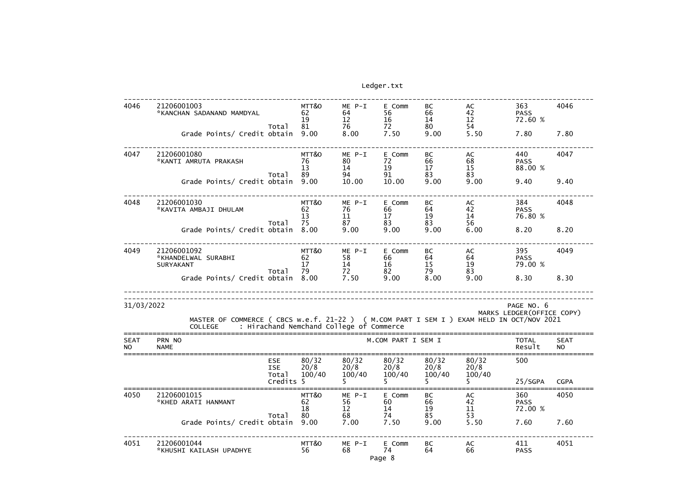| 4046                     | 21206001003<br>*KANCHAN SADANAND MAMDYAL                                                                    |                                   | MTT&O<br>62<br>19       | $ME P-I$<br>64<br>12                     | E Comm<br>56<br>16                    | BC<br>66<br>14          | AC<br>42<br>12          | 363<br><b>PASS</b><br>72.60 % | 4046                     |
|--------------------------|-------------------------------------------------------------------------------------------------------------|-----------------------------------|-------------------------|------------------------------------------|---------------------------------------|-------------------------|-------------------------|-------------------------------|--------------------------|
|                          | Grade Points/ Credit obtain 9.00                                                                            | Total                             | 81                      | 76<br>8.00                               | 72<br>7.50                            | 80<br>9.00              | 54<br>5.50              | 7.80                          | 7.80                     |
| 4047                     | 21206001080<br>*KANTI AMRUTA PRAKASH                                                                        | Total                             | MTT&O<br>76<br>13<br>89 | $ME P-I$<br>80<br>14<br>94               | E Comm<br>72<br>19<br>91              | BC<br>66<br>17<br>83    | AC<br>68<br>15<br>83    | 440<br><b>PASS</b><br>88.00 % | 4047                     |
|                          | Grade Points/ Credit obtain                                                                                 |                                   | 9.00                    | 10.00                                    | 10.00                                 | 9.00                    | 9.00                    | 9.40                          | 9.40                     |
| 4048                     | 21206001030<br>*KAVITA AMBAJI DHULAM                                                                        | Total                             | MTT&O<br>62<br>13<br>75 | $ME P-I$<br>76<br>11<br>87               | E Comm<br>66<br>17 <sub>2</sub><br>83 | BC<br>64<br>19<br>83    | AC<br>42<br>14<br>56    | 384<br><b>PASS</b><br>76.80 % | 4048                     |
|                          | Grade Points/ Credit obtain                                                                                 |                                   | 8.00                    | 9.00                                     | 9.00                                  | 9.00                    | 6.00                    | 8.20                          | 8.20                     |
| 4049                     | 21206001092<br>*KHANDELWAL SURABHI<br><b>SURYAKANT</b>                                                      | Total                             | MTT&O<br>62<br>17<br>79 | $ME P-I$<br>58<br>14<br>72               | E Comm<br>66<br>16<br>82              | BC<br>64<br>15<br>79    | AC<br>64<br>19<br>83    | 395<br><b>PASS</b><br>79.00 % | 4049                     |
|                          | Grade Points/ Credit obtain 8.00                                                                            |                                   |                         | 7.50                                     | 9.00                                  | 8.00                    | 9.00                    | 8.30                          | 8.30                     |
| 31/03/2022               |                                                                                                             |                                   |                         |                                          |                                       |                         |                         | PAGE NO. 6                    |                          |
|                          | MASTER OF COMMERCE ( CBCS w.e.f. 21-22 ) ( M.COM PART I SEM I ) EXAM HELD IN OCT/NOV 2021<br><b>COLLEGE</b> |                                   |                         | : Hirachand Nemchand College of Commerce |                                       |                         |                         | MARKS LEDGER (OFFICE COPY)    |                          |
| <b>SEAT</b><br><b>NO</b> | PRN NO<br><b>NAME</b>                                                                                       |                                   |                         |                                          | M.COM PART I SEM I                    |                         |                         | <b>TOTAL</b><br>Result        | <b>SEAT</b><br><b>NO</b> |
|                          |                                                                                                             | <b>ESE</b><br><b>ISE</b><br>Total | 80/32<br>20/8<br>100/40 | 80/32<br>20/8<br>100/40                  | 80/32<br>20/8<br>100/40               | 80/32<br>20/8<br>100/40 | 80/32<br>20/8<br>100/40 | 500                           |                          |
|                          |                                                                                                             | Credits 5                         |                         |                                          | 5.                                    | 5.                      | 5.                      | 25/SGPA                       | <b>CGPA</b>              |
| 4050                     | 21206001015<br>*KHED ARATI HANMANT                                                                          | Total                             | MTT&O<br>62<br>18<br>80 | $ME P-I$<br>56<br>12<br>68               | E Comm<br>60<br>14<br>74              | BC<br>66<br>19<br>85    | AC<br>42<br>11<br>53    | 360<br><b>PASS</b><br>72.00 % | 4050                     |
|                          | Grade Points/ Credit obtain                                                                                 |                                   | 9.00                    | 7.00                                     | 7.50                                  | 9.00                    | 5.50                    | 7.60                          | 7.60                     |
| 4051                     | 21206001044<br>*KHUSHI KAILASH UPADHYE                                                                      |                                   | MTT&O<br>56             | ME P-I<br>68                             | E Comm<br>74<br>Page 8                | BC<br>64                | AC<br>66                | 411<br><b>PASS</b>            | 4051                     |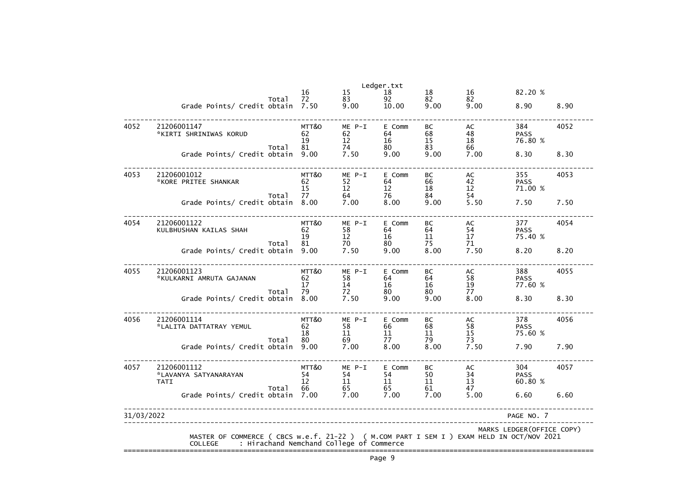|            |                                                                                                             |       |                         |                                          | Ledger.txt               |                             |                                                     |                               |      |
|------------|-------------------------------------------------------------------------------------------------------------|-------|-------------------------|------------------------------------------|--------------------------|-----------------------------|-----------------------------------------------------|-------------------------------|------|
|            |                                                                                                             | Total | 16<br>72                | 15<br>83                                 | 18<br>92                 | 18<br>82                    | 16<br>82                                            | 82.20 %                       |      |
|            | Grade Points/ Credit obtain                                                                                 |       | 7.50                    | 9.00                                     | 10.00                    | 9.00                        | 9.00                                                | 8.90                          | 8.90 |
| 4052       | 21206001147<br>*KIRTI SHRINIWAS KORUD                                                                       |       | MTT&O<br>62<br>19       | $ME$ $P-I$<br>62<br>12                   | E Comm<br>64<br>16       | BC<br>68<br>15              | AC<br>48<br>18                                      | 384<br><b>PASS</b><br>76.80 % | 4052 |
|            | Grade Points/ Credit obtain                                                                                 | Total | 81<br>9.00              | 74<br>7.50                               | 80<br>9.00               | 83<br>9.00                  | 66<br>7.00                                          | 8.30                          | 8.30 |
| 4053       | 21206001012<br>*KORE PRITEE SHANKAR                                                                         | Total | MTT&O<br>62<br>15<br>77 | ME P-I<br>52<br>12<br>64                 | E Comm<br>64<br>12<br>76 | BC<br>66<br>18<br>84        | AC<br>$\begin{array}{c} 42 \\ 12 \end{array}$<br>54 | 355<br><b>PASS</b><br>71.00 % | 4053 |
|            | Grade Points/ Credit obtain                                                                                 |       | 8.00                    | 7.00                                     | 8.00                     | 9.00                        | 5.50                                                | 7.50                          | 7.50 |
| 4054       | 21206001122<br>KULBHUSHAN KAILAS SHAH                                                                       |       | MTT&O<br>62<br>19       | $ME$ $P-I$<br>58<br>12                   | E Comm<br>64<br>16       | <b>BC</b><br>64<br>11<br>75 | AC<br>54<br>17                                      | 377<br><b>PASS</b><br>75.40 % | 4054 |
|            | Grade Points/ Credit obtain                                                                                 | Total | 81<br>9.00              | 70<br>7.50                               | 80<br>9.00               | 8.00                        | 71<br>7.50                                          | 8.20                          | 8.20 |
| 4055       | 21206001123<br>*KULKARNI AMRUTA GAJANAN                                                                     |       | MTT&O<br>62<br>17<br>79 | ME P-I<br>58<br>14                       | E Comm<br>64<br>16       | <b>BC</b><br>64<br>16<br>80 | AC<br>58<br>19<br>77                                | 388<br><b>PASS</b><br>77.60 % | 4055 |
|            | Grade Points/ Credit obtain                                                                                 | Total | 8.00                    | 72<br>7.50                               | 80<br>9.00               | 9.00                        | 8.00                                                | 8.30                          | 8.30 |
| 4056       | 21206001114<br>*LALITA DATTATRAY YEMUL                                                                      |       | MTT&O<br>62<br>18<br>80 | ME P-I<br>58<br>11<br>69                 | E Comm<br>66<br>11<br>77 | BC<br>68<br>11              | AC<br>58<br>15<br>73                                | 378<br><b>PASS</b><br>75.60 % | 4056 |
|            | Grade Points/ Credit obtain 9.00                                                                            | Total |                         | 7.00                                     | 8.00                     | 79<br>8.00                  | 7.50                                                | 7.90                          | 7.90 |
| 4057       | 21206001112<br>*LAVANYA SATYANARAYAN<br><b>TATI</b>                                                         | Total | MTT&O<br>54<br>12<br>66 | ME P-I<br>54<br>11<br>65                 | E Comm<br>54<br>11<br>65 | BC<br>50<br>11<br>61        | AC<br>$\begin{array}{c} 34 \\ 13 \end{array}$<br>47 | 304<br><b>PASS</b><br>60.80 % | 4057 |
|            | Grade Points/ Credit obtain 7.00                                                                            |       |                         | 7.00                                     | 7.00                     | 7.00                        | 5.00                                                | 6.60                          | 6.60 |
| 31/03/2022 |                                                                                                             |       |                         |                                          |                          |                             |                                                     | PAGE NO. 7                    |      |
|            | MASTER OF COMMERCE ( CBCS w.e.f. 21-22 ) ( M.COM PART I SEM I ) EXAM HELD IN OCT/NOV 2021<br><b>COLLEGE</b> |       |                         | : Hirachand Nemchand College of Commerce |                          |                             |                                                     | MARKS LEDGER (OFFICE COPY)    |      |
|            |                                                                                                             |       |                         |                                          |                          |                             |                                                     |                               |      |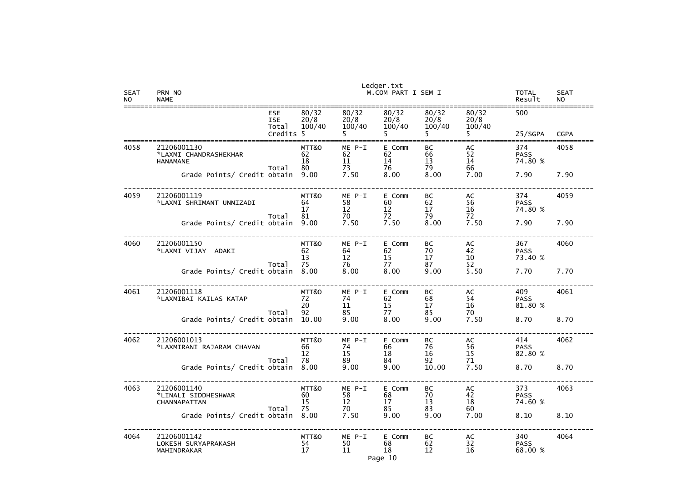| <b>SEAT</b><br><b>NO</b> | PRN NO<br><b>NAME</b>                                            |                         |                              | Ledger.txt<br>M.COM PART I SEM I |                             |                         | TOTAL<br>Result               | <b>SEAT</b><br><b>NO</b> |
|--------------------------|------------------------------------------------------------------|-------------------------|------------------------------|----------------------------------|-----------------------------|-------------------------|-------------------------------|--------------------------|
|                          | <b>ESE</b><br><b>ISE</b><br>Total<br>Credits                     | 80/32<br>20/8<br>100/40 | 80/32<br>20/8<br>100/40      | 80/32<br>20/8<br>100/40          | 80/32<br>20/8<br>100/40     | 80/32<br>20/8<br>100/40 | 500<br>25/SGPA                | <b>CGPA</b>              |
|                          |                                                                  |                         |                              |                                  |                             |                         |                               |                          |
| 4058                     | 21206001130<br>*LAXMI CHANDRASHEKHAR<br><b>HANAMANE</b><br>Total | MTT&O<br>62<br>18<br>80 | $ME P-I$<br>62<br>11<br>73   | E Comm<br>62<br>14<br>76         | BC<br>66<br>13<br>79        | AC<br>52<br>14<br>66    | 374<br><b>PASS</b><br>74.80 % | 4058                     |
|                          | Grade Points/ Credit obtain                                      | 9.00                    | 7.50                         | 8.00                             | 8.00                        | 7.00                    | 7.90                          | 7.90                     |
| 4059                     | 21206001119<br>*LAXMI SHRIMANT UNNIZADI<br>Total                 | MTT&O<br>64<br>17<br>81 | $ME P-I$<br>58<br>12<br>70   | E Comm<br>60<br>12<br>72         | BC<br>62<br>17<br>79        | AC<br>56<br>16<br>72    | 374<br><b>PASS</b><br>74.80 % | 4059                     |
|                          | Grade Points/ Credit obtain                                      | 9.00                    | 7.50                         | 7.50                             | 8.00                        | 7.50                    | 7.90                          | 7.90                     |
| 4060                     | 21206001150<br>*LAXMI VIJAY<br>ADAKI<br>Total                    | MTT&O<br>62<br>13<br>75 | $ME$ $P-I$<br>64<br>12<br>76 | E Comm<br>62<br>15<br>77         | <b>BC</b><br>70<br>17<br>87 | AC<br>42<br>10<br>52    | 367<br><b>PASS</b><br>73.40 % | 4060                     |
|                          | Grade Points/ Credit obtain                                      | 8.00                    | 8.00                         | 8.00                             | 9.00                        | 5.50                    | 7.70                          | 7.70                     |
| 4061                     | 21206001118<br>*LAXMIBAI KAILAS KATAP<br>Total                   | MTT&O<br>72<br>20<br>92 | $ME$ $P-I$<br>74<br>11<br>85 | E Comm<br>62<br>15<br>77         | <b>BC</b><br>68<br>17<br>85 | AC<br>54<br>16<br>70    | 409<br><b>PASS</b><br>81.80 % | 4061                     |
|                          | Grade Points/ Credit obtain                                      | 10.00                   | 9.00                         | 8.00                             | 9.00                        | 7.50                    | 8.70                          | 8.70                     |
| 4062                     | 21206001013<br>*LAXMIRANI RAJARAM CHAVAN<br>Total                | MTT&O<br>66<br>12<br>78 | ME P-I<br>74<br>15<br>89     | E Comm<br>66<br>18<br>84         | ВC<br>76<br>16<br>92        | AC<br>56<br>15<br>71    | 414<br><b>PASS</b><br>82.80 % | 4062                     |
|                          | Grade Points/ Credit obtain 8.00                                 |                         | 9.00                         | 9.00                             | 10.00                       | 7.50                    | 8.70                          | 8.70                     |
| 4063                     | 21206001140<br>*LINALI SIDDHESHWAR<br>CHANNAPATTAN<br>Total      | MTT&O<br>60<br>15<br>75 | ME P-I<br>58<br>12<br>70     | E Comm<br>68<br>17<br>85         | BC<br>70<br>13<br>83        | AC<br>42<br>18<br>60    | 373<br><b>PASS</b><br>74.60 % | 4063                     |
|                          | Grade Points/ Credit obtain 8.00                                 |                         | 7.50                         | 9.00                             | 9.00                        | 7.00                    | 8.10                          | 8.10                     |
| 4064                     | 21206001142<br>LOKESH SURYAPRAKASH<br>MAHINDRAKAR                | MTT&O<br>54<br>17       | ME P-I<br>50<br>11           | E Comm<br>68<br>18               | BC<br>62<br>12              | AC<br>32<br>16          | 340<br><b>PASS</b><br>68.00 % | 4064                     |

Page 10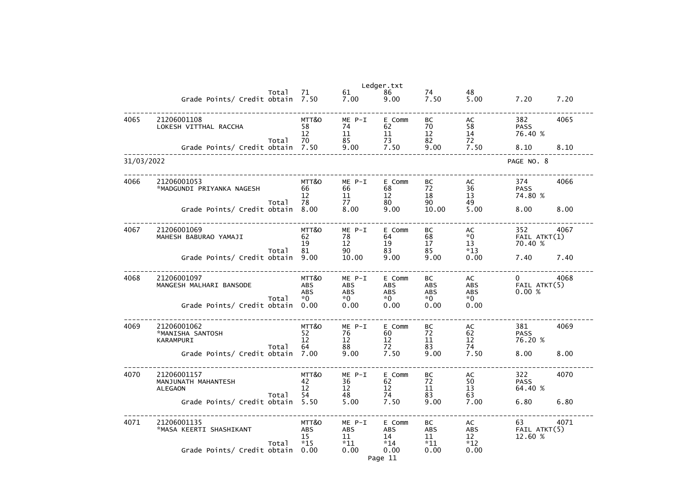|            |                                                                       |       |                                                   |                                                 | Ledger.txt                                         |                                              |                                                     |                                       |      |
|------------|-----------------------------------------------------------------------|-------|---------------------------------------------------|-------------------------------------------------|----------------------------------------------------|----------------------------------------------|-----------------------------------------------------|---------------------------------------|------|
|            | Grade Points/ Credit obtain 7.50                                      | Total | 71                                                | 61<br>7.00                                      | 86<br>9.00                                         | 74<br>7.50                                   | 48<br>5.00                                          | 7.20                                  | 7.20 |
| 4065       | 21206001108<br>LOKESH VITTHAL RACCHA                                  | Total | MTT&O<br>58<br>12<br>70                           | $ME P-I$<br>74<br>11<br>85                      | E Comm<br>62<br>11<br>73                           | BC<br>70<br>12<br>82                         | AC<br>58<br>14<br>72                                | 382<br><b>PASS</b><br>76.40 %         | 4065 |
|            | Grade Points/ Credit obtain                                           |       | 7.50                                              | 9.00                                            | 7.50                                               | 9.00                                         | 7.50                                                | 8.10                                  | 8.10 |
| 31/03/2022 |                                                                       |       |                                                   |                                                 |                                                    |                                              |                                                     | PAGE NO. 8                            |      |
| 4066       | 21206001053<br>*MADGUNDI PRIYANKA NAGESH                              | Total | MTT&O<br>66<br>12<br>78                           | $ME P-I$<br>66<br>11<br>77                      | E Comm<br>68<br>12<br>80                           | BC<br>72<br>18<br>90                         | AC<br>36<br>13<br>49                                | 374<br><b>PASS</b><br>74.80 %         | 4066 |
|            | Grade Points/ Credit obtain                                           |       | 8.00                                              | 8.00                                            | 9.00                                               | 10.00                                        | 5.00                                                | 8.00                                  | 8.00 |
| 4067       | 21206001069<br>MAHESH BABURAO YAMAJI                                  | Total | MTT&O<br>62<br>19<br>81                           | $ME P-I$<br>78<br>12<br>90                      | E Comm<br>64<br>19<br>83                           | BC<br>68<br>17<br>85                         | AC<br>$*0$<br>13<br>$*13$                           | 352<br>$FAIL$ $ATKT(1)$<br>70.40 %    | 4067 |
|            | Grade Points/ Credit obtain                                           |       | 9.00                                              | 10.00                                           | 9.00                                               | 9.00                                         | 0.00                                                | 7.40                                  | 7.40 |
| 4068       | 21206001097<br>MANGESH MALHARI BANSODE<br>Grade Points/ Credit obtain | Total | MTT&O<br><b>ABS</b><br><b>ABS</b><br>$*0$<br>0.00 | $ME$ $P-I$<br><b>ABS</b><br>ABS<br>$*0$<br>0.00 | E Comm<br><b>ABS</b><br><b>ABS</b><br>$*0$<br>0.00 | BC<br><b>ABS</b><br><b>ABS</b><br>*0<br>0.00 | AC<br><b>ABS</b><br><b>ABS</b><br>$*0$<br>0.00      | $\mathbf{0}$<br>FAIL ATKT(5)<br>0.00% | 4068 |
|            |                                                                       |       |                                                   |                                                 |                                                    |                                              |                                                     |                                       |      |
| 4069       | 21206001062<br>*MANISHA SANTOSH<br>KARAMPURI                          | Total | MTT&O<br>52<br>12<br>64                           | $ME P-I$<br>76<br>12<br>88                      | E Comm<br>60<br>12<br>72                           | BC<br>72<br>11<br>83                         | AC<br>62<br>12<br>74                                | 381<br><b>PASS</b><br>76.20 %         | 4069 |
|            | Grade Points/ Credit obtain 7.00                                      |       |                                                   | 9.00                                            | 7.50                                               | 9.00                                         | 7.50                                                | 8.00                                  | 8.00 |
| 4070       | 21206001157<br>MANJUNATH MAHANTESH<br><b>ALEGAON</b>                  | Total | MTT&O<br>42<br>12<br>54                           | $ME$ $P-I$<br>36<br>12<br>48                    | E Comm<br>62<br>12<br>74                           | BC<br>72<br>11<br>83                         | AC<br>$\begin{array}{c} 50 \\ 13 \end{array}$<br>63 | 322<br><b>PASS</b><br>64.40 %         | 4070 |
|            | Grade Points/ Credit obtain                                           |       | 5.50                                              | 5.00                                            | 7.50                                               | 9.00                                         | 7.00                                                | 6.80                                  | 6.80 |
| 4071       | 21206001135<br>*MASA KEERTI SHASHIKANT                                | Total | MTT&O<br>ABS<br>15<br>$*15$                       | ME P-I<br>ABS<br>11<br>$*11$                    | E Comm<br>ABS<br>14<br>$*14$                       | BC<br>ABS<br>11<br>$*11$                     | AC<br><b>ABS</b><br>12<br>$*12$                     | 63<br>FAIL ATKT(5)<br>12.60 %         | 4071 |
|            | Grade Points/ Credit obtain                                           |       | 0.00                                              | 0.00                                            | 0.00<br>Page 11                                    | 0.00                                         | 0.00                                                |                                       |      |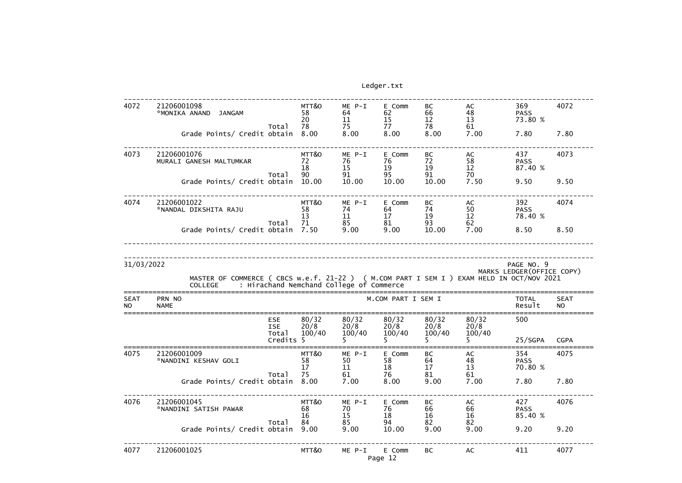| 4072                     | 21206001098<br>*MONIKA ANAND<br><b>JANGAM</b>                                                               |                                   | MTT&O<br>58<br>20       | $ME P-I$<br>64<br>11                     | E Comm<br>62<br>15       | BC<br>66<br>12          | AC<br>48<br>13          | 369<br><b>PASS</b><br>73.80 % | 4072                     |
|--------------------------|-------------------------------------------------------------------------------------------------------------|-----------------------------------|-------------------------|------------------------------------------|--------------------------|-------------------------|-------------------------|-------------------------------|--------------------------|
|                          | Grade Points/ Credit obtain                                                                                 | Total                             | 78<br>8.00              | 75<br>8.00                               | 77<br>8.00               | 78<br>8.00              | 61<br>7.00              | 7.80                          | 7.80                     |
| 4073                     | 21206001076<br>MURALI GANESH MALTUMKAR                                                                      | Total                             | MTT&O<br>72<br>18<br>90 | $ME P-I$<br>76<br>15<br>91               | E Comm<br>76<br>19<br>95 | BC<br>72<br>19<br>91    | AC<br>58<br>12<br>70    | 437<br><b>PASS</b><br>87.40 % | 4073                     |
|                          | Grade Points/ Credit obtain                                                                                 |                                   | 10.00                   | 10.00                                    | 10.00                    | 10.00                   | 7.50                    | 9.50                          | 9.50                     |
| 4074                     | 21206001022<br>*NANDAL DIKSHITA RAJU                                                                        | Total                             | MTT&O<br>58<br>13<br>71 | $ME P-I$<br>74<br>11<br>85               | E Comm<br>64<br>17<br>81 | BC<br>74<br>19<br>93    | AC<br>50<br>12<br>62    | 392<br><b>PASS</b><br>78.40 % | 4074                     |
|                          | Grade Points/ Credit obtain 7.50                                                                            |                                   |                         | 9.00                                     | 9.00                     | 10.00                   | 7.00                    | 8.50                          | 8.50                     |
|                          | MASTER OF COMMERCE ( CBCS w.e.f. 21-22 ) ( M.COM PART I SEM I ) EXAM HELD IN OCT/NOV 2021<br><b>COLLEGE</b> |                                   |                         | : Hirachand Nemchand College of Commerce |                          |                         |                         | MARKS LEDGER (OFFICE COPY)    |                          |
| <b>SEAT</b><br><b>NO</b> | PRN NO<br><b>NAME</b>                                                                                       |                                   |                         |                                          | M.COM PART I SEM I       |                         |                         | <b>TOTAL</b><br>Result        | <b>SEAT</b><br><b>NO</b> |
|                          |                                                                                                             | <b>ESE</b><br><b>ISE</b><br>Total | 80/32<br>20/8<br>100/40 | 80/32<br>20/8<br>100/40                  | 80/32<br>20/8<br>100/40  | 80/32<br>20/8<br>100/40 | 80/32<br>20/8<br>100/40 | 500                           |                          |
|                          |                                                                                                             | Credits 5                         |                         |                                          |                          |                         |                         | 25/SGPA                       | <b>CGPA</b>              |
| 407 D                    | 21206001009<br>*NANDINI KESHAV GOLI                                                                         | Total                             | MTT&O<br>58<br>17<br>75 | ME P-I<br>50<br>11<br>61                 | E Comm<br>58<br>18<br>76 | BC<br>64<br>17<br>81    | AC<br>48<br>13<br>61    | 354<br><b>PASS</b><br>70.80 % | 4075                     |
|                          | Grade Points/ Credit obtain                                                                                 |                                   | 8.00                    | 7.00                                     | 8.00                     | 9.00                    | 7.00                    | 7.80                          | 7.80                     |
| 4076                     | 21206001045<br>*NANDINI SATISH PAWAR                                                                        | Total                             | MTT&O<br>68<br>16<br>84 | ME P-I<br>70<br>15<br>85                 | E Comm<br>76<br>18<br>94 | BC<br>66<br>16<br>82    | AC<br>66<br>16<br>82    | 427<br><b>PASS</b><br>85.40 % | 4076                     |
|                          | Grade Points/ Credit obtain                                                                                 |                                   | 9.00                    | 9.00                                     | 10.00                    | 9.00                    | 9.00                    | 9.20                          | 9.20                     |
|                          |                                                                                                             |                                   |                         |                                          |                          |                         |                         |                               |                          |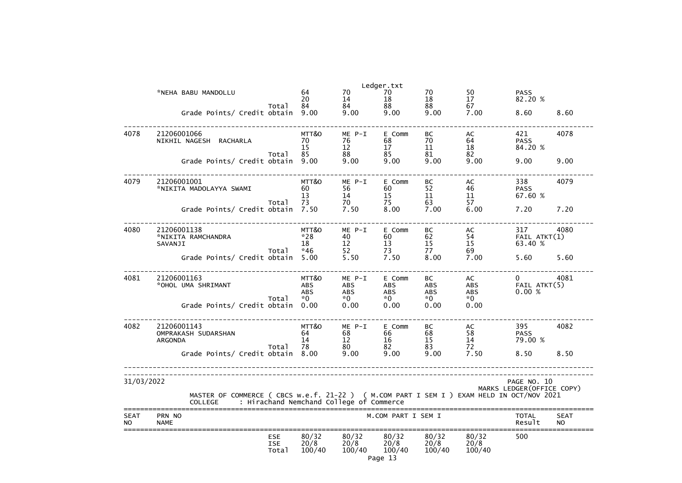|                          | *NEHA BABU MANDOLLU                                                                                                                                     | 64<br>20                                | 70<br>14                                   | Ledger.txt<br>70<br>18              | 70<br>18                               | 50<br>17                        | <b>PASS</b><br>82.20 %                    |                          |
|--------------------------|---------------------------------------------------------------------------------------------------------------------------------------------------------|-----------------------------------------|--------------------------------------------|-------------------------------------|----------------------------------------|---------------------------------|-------------------------------------------|--------------------------|
|                          | Total<br>Grade Points/ Credit obtain                                                                                                                    | 84<br>9.00                              | 84<br>9.00                                 | 88<br>9.00                          | 88<br>9.00                             | 67<br>7.00                      | 8.60                                      | 8.60                     |
| 4078                     | 21206001066<br>NIKHIL NAGESH RACHARLA<br>Total                                                                                                          | MTT&O<br>70<br>15<br>85                 | $ME P-I$<br>76<br>12<br>88                 | E Comm<br>68<br>17<br>85            | BC<br>70<br>11<br>81                   | AC<br>64<br>18<br>82            | 421<br><b>PASS</b><br>84.20 %             | 4078                     |
|                          | Grade Points/ Credit obtain                                                                                                                             | 9.00                                    | 9.00                                       | 9.00                                | 9.00                                   | 9.00                            | 9.00                                      | 9.00                     |
| 4079                     | 21206001001<br>*NIKITA MADOLAYYA SWAMI<br>Total                                                                                                         | MTT&O<br>60<br>13<br>73                 | ME P-I<br>56<br>14<br>70                   | E Comm<br>60<br>15<br>75            | BC<br>52<br>11<br>63                   | AC<br>46<br>11<br>57            | 338<br><b>PASS</b><br>67.60 %             | 4079                     |
|                          | Grade Points/ Credit obtain                                                                                                                             | 7.50                                    | 7.50                                       | 8.00                                | 7.00                                   | 6.00                            | 7.20                                      | 7.20                     |
| 4080                     | 21206001138<br>*NIKITA RAMCHANDRA<br>SAVANJI<br>Total                                                                                                   | MTT&O<br>$*28$<br>18<br>$*46$           | ME P-I<br>40<br>12<br>52                   | E Comm<br>60<br>13<br>73            | BC<br>62<br>15<br>77                   | AC<br>54<br>15<br>69            | 317<br>$FAIL$ $ATKT(1)$<br>63.40 %        | 4080                     |
|                          | Grade Points/ Credit obtain                                                                                                                             | 5.00                                    | 5.50                                       | 7.50                                | 8.00                                   | 7.00                            | 5.60                                      | 5.60                     |
| 4081                     | 21206001163<br>*OHOL UMA SHRIMANT<br>Total                                                                                                              | MTT&O<br><b>ABS</b><br><b>ABS</b><br>*0 | ME P-I<br><b>ABS</b><br><b>ABS</b><br>$*0$ | E Comm<br>ABS<br><b>ABS</b><br>$*0$ | BC<br><b>ABS</b><br><b>ABS</b><br>$*0$ | AC<br>ABS<br><b>ABS</b><br>$*0$ | $\mathbf{0}$<br>FAIL ATKT(5)<br>0.00%     | 4081                     |
|                          | Grade Points/ Credit obtain                                                                                                                             | 0.00                                    | 0.00                                       | 0.00                                | 0.00                                   | 0.00                            |                                           |                          |
| 4082                     | 21206001143<br>OMPRAKASH SUDARSHAN<br>ARGONDA<br>Total                                                                                                  | MTT&O<br>64<br>14<br>78                 | ME P-I<br>68<br>12<br>80                   | E Comm<br>66<br>16<br>82            | BC<br>68<br>15<br>83                   | AC<br>58<br>14<br>72            | 395<br><b>PASS</b><br>79.00 %             | 4082                     |
|                          | Grade Points/ Credit obtain                                                                                                                             | 8.00                                    | 9.00                                       | 9.00                                | 9.00                                   | 7.50                            | 8.50                                      | 8.50                     |
| 31/03/2022               | MASTER OF COMMERCE ( CBCS w.e.f. 21-22 ) ( M.COM PART I SEM I ) EXAM HELD IN OCT/NOV 2021<br>: Hirachand Nemchand College of Commerce<br><b>COLLEGE</b> |                                         |                                            |                                     |                                        |                                 | PAGE NO. 10<br>MARKS LEDGER (OFFICE COPY) |                          |
| <b>SEAT</b><br><b>NO</b> | PRN NO<br><b>NAME</b>                                                                                                                                   |                                         |                                            | M.COM PART I SEM I                  |                                        |                                 | <b>TOTAL</b><br>Result                    | <b>SEAT</b><br><b>NO</b> |
|                          | <b>ESE</b><br><b>ISE</b><br>Total                                                                                                                       | 80/32<br>20/8<br>100/40                 | 80/32<br>20/8<br>100/40                    | 80/32<br>20/8<br>100/40<br>Page 13  | 80/32<br>20/8<br>100/40                | 80/32<br>20/8<br>100/40         | 500                                       |                          |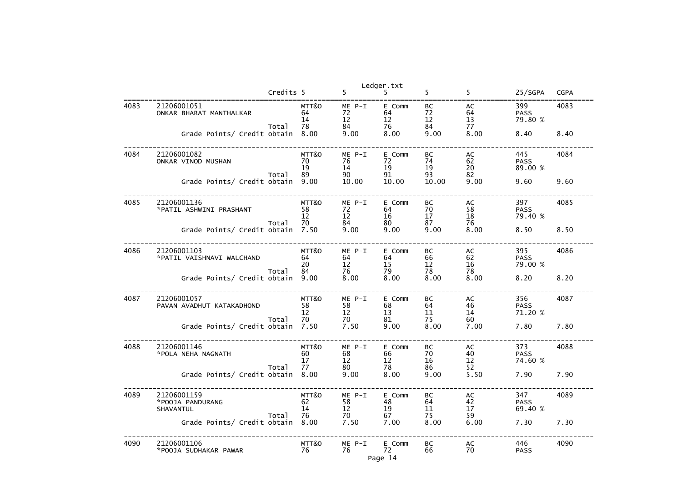|      |                                              |           |                         | Ledger.txt                                       |                          |                           |                           |                               |             |
|------|----------------------------------------------|-----------|-------------------------|--------------------------------------------------|--------------------------|---------------------------|---------------------------|-------------------------------|-------------|
|      |                                              | Credits 5 |                         | 5                                                |                          | 5                         | 5                         | 25/SGPA                       | <b>CGPA</b> |
| 4083 | 21206001051<br>ONKAR BHARAT MANTHALKAR       |           | MTT&O<br>64<br>14       | ME P-I<br>72<br>12                               | E Comm<br>64<br>12       | BC<br>72<br>12            | AC<br>64<br>13            | 399<br><b>PASS</b><br>79.80 % | 4083        |
|      | Grade Points/ Credit obtain 8.00             | Total     | 78                      | 84<br>9.00                                       | 76<br>8.00               | 84<br>9.00                | 77<br>8.00                | 8.40                          | 8.40        |
| 4084 | 21206001082<br>ONKAR VINOD MUSHAN            | Total     | MTT&O<br>70<br>19<br>89 | ME P-I<br>76<br>14<br>90                         | E Comm<br>72<br>19<br>91 | BC<br>74<br>19<br>93      | AC<br>62<br>20<br>82      | 445<br><b>PASS</b><br>89.00 % | 4084        |
|      | Grade Points/ Credit obtain 9.00             |           |                         | 10.00                                            | 10.00                    | 10.00                     | 9.00                      | 9.60                          | 9.60        |
| 4085 | 21206001136<br>*PATIL ASHWINI PRASHANT       | Total     | MTT&O<br>58<br>12<br>70 | ME P-I<br>72<br>12                               | E Comm<br>64<br>16<br>80 | BC<br>70<br>$17 \,$<br>87 | AC<br>58<br>18<br>76      | 397<br><b>PASS</b><br>79.40 % | 4085        |
|      | Grade Points/ Credit obtain 7.50             |           |                         | $\begin{array}{c} 84 \\ 9.0 \end{array}$<br>9.00 | 9.00                     | 9.00                      | 8.00                      | 8.50                          | 8.50        |
| 4086 | 21206001103<br>*PATIL VAISHNAVI WALCHAND     | Total     | MTT&O<br>64<br>20<br>84 | ME P-I<br>64<br>12<br>76                         | E Comm<br>64<br>15<br>79 | BC<br>66<br>12<br>78      | AC<br>$62 \over 16$<br>78 | 395<br><b>PASS</b><br>79.00 % | 4086        |
|      | Grade Points/ Credit obtain                  |           | 9.00                    | 8.00                                             | 8.00                     | 8.00                      | 8.00                      | 8.20                          | 8.20        |
| 4087 | 21206001057<br>PAVAN AVADHUT KATAKADHOND     | Total     | MTT&O<br>58<br>12<br>70 | ME P-I<br>58<br>12                               | E Comm<br>68<br>13<br>81 | BC<br>64<br>11<br>75      | AC<br>46<br>14<br>60      | 356<br><b>PASS</b><br>71.20 % | 4087        |
|      | Grade Points/ Credit obtain 7.50             |           |                         | $70$<br>$7.50$                                   | 9.00                     | 8.00                      | 7.00                      | 7.80                          | 7.80        |
| 4088 | 21206001146<br>*POLA NEHA NAGNATH            | Total     | MTT&O<br>60<br>17<br>77 | $ME P-I$<br>68<br>12<br>80                       | E Comm<br>66<br>12<br>78 | BC<br>70<br>16<br>86      | AC<br>40<br>12<br>52      | 373<br><b>PASS</b><br>74.60 % | 4088        |
|      | Grade Points/ Credit obtain 8.00             |           |                         | 9.00                                             | 8.00                     | 9.00                      | 5.50                      | 7.90                          | 7.90        |
| 4089 | 21206001159<br>*POOJA PANDURANG<br>SHAVANTUL | Total     | MTT&O<br>62<br>14<br>76 | $ME P-I$<br>58<br>12<br>70                       | E Comm<br>48<br>19<br>67 | BC<br>64<br>11<br>75      | AC<br>42<br>17<br>59      | 347<br><b>PASS</b><br>69.40 % | 4089        |
|      | Grade Points/ Credit obtain 8.00             |           |                         | 7.50                                             | 7.00                     | 8.00                      | 6.00                      | 7.30                          | 7.30        |
| 4090 | 21206001106<br>*POOJA SUDHAKAR PAWAR         |           | MTT&O<br>76             | ME P-I<br>76                                     | E Comm<br>72<br>Page 14  | BC<br>66                  | AC<br>70                  | 446<br><b>PASS</b>            | 4090        |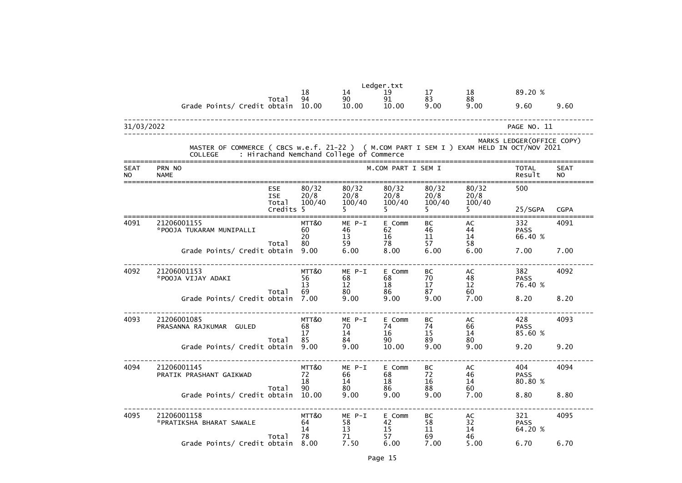|                          |                                                                                                                                                         |                                                |                         |                              | Ledger.txt               |                         |                         |                               |                          |
|--------------------------|---------------------------------------------------------------------------------------------------------------------------------------------------------|------------------------------------------------|-------------------------|------------------------------|--------------------------|-------------------------|-------------------------|-------------------------------|--------------------------|
|                          |                                                                                                                                                         |                                                | 18                      | 14                           | 19                       | 17                      | 18                      | 89.20 %                       |                          |
|                          | Grade Points/ Credit obtain 10.00                                                                                                                       | Total                                          | 94                      | 90<br>10.00                  | 91<br>10.00              | 83<br>9.00              | 88<br>9.00              | 9.60                          | 9.60                     |
| 31/03/2022               |                                                                                                                                                         |                                                |                         |                              |                          |                         |                         | PAGE NO. 11                   |                          |
|                          | MASTER OF COMMERCE ( CBCS w.e.f. 21-22 ) ( M.COM PART I SEM I ) EXAM HELD IN OCT/NOV 2021<br>: Hirachand Nemchand College of Commerce<br><b>COLLEGE</b> |                                                |                         |                              |                          |                         |                         | MARKS LEDGER (OFFICE COPY)    |                          |
| <b>SEAT</b><br><b>NO</b> | PRN NO<br><b>NAME</b>                                                                                                                                   |                                                |                         |                              | M.COM PART I SEM I       |                         |                         | <b>TOTAL</b><br>Result        | <b>SEAT</b><br><b>NO</b> |
|                          |                                                                                                                                                         | <b>ESE</b><br><b>ISE</b><br>Total<br>Credits 5 | 80/32<br>20/8<br>100/40 | 80/32<br>20/8<br>100/40      | 80/32<br>20/8<br>100/40  | 80/32<br>20/8<br>100/40 | 80/32<br>20/8<br>100/40 | 500<br>25/SGPA                | <b>CGPA</b>              |
| 4091                     | 21206001155<br>*POOJA TUKARAM MUNIPALLI                                                                                                                 |                                                | MTT&O<br>60<br>20<br>80 | $ME$ $P-I$<br>46<br>13<br>59 | E Comm<br>62<br>16<br>78 | BC<br>46<br>11<br>57    | AC<br>44<br>14          | 332<br><b>PASS</b><br>66.40 % | 4091                     |
|                          | Grade Points/ Credit obtain                                                                                                                             | Total                                          | 9.00                    | 6.00                         | 8.00                     | 6.00                    | 58<br>6.00              | 7.00                          | 7.00                     |
| 4092                     | 21206001153<br>*POOJA VIJAY ADAKI                                                                                                                       |                                                | MTT&O<br>56<br>13       | $ME$ $P-I$<br>68<br>12       | E Comm<br>68<br>18       | <b>BC</b><br>70<br>17   | AC<br>48<br>12          | 382<br><b>PASS</b><br>76.40 % | 4092                     |
|                          | Grade Points/ Credit obtain                                                                                                                             | Total                                          | 69<br>7.00              | 80<br>9.00                   | 86<br>9.00               | 87<br>9.00              | 60<br>7.00              | 8.20                          | 8.20                     |
| 4093                     | 21206001085<br>PRASANNA RAJKUMAR GULED                                                                                                                  | Total                                          | MTT&O<br>68<br>17<br>85 | ME P-I<br>70<br>14<br>84     | E Comm<br>74<br>16<br>90 | BC<br>74<br>15<br>89    | AC<br>66<br>14<br>80    | 428<br><b>PASS</b><br>85.60 % | 4093                     |
|                          | Grade Points/ Credit obtain 9.00                                                                                                                        |                                                |                         | 9.00                         | 10.00                    | 9.00                    | 9.00                    | 9.20                          | 9.20                     |
| 4094                     | 21206001145<br>PRATIK PRASHANT GAIKWAD                                                                                                                  | Total                                          | MTT&O<br>72<br>18<br>90 | $ME$ $P-I$<br>66<br>14<br>80 | E Comm<br>68<br>18<br>86 | BC<br>72<br>16<br>88    | AC<br>46<br>14<br>60    | 404<br><b>PASS</b><br>80.80 % | 4094                     |
|                          | Grade Points/ Credit obtain                                                                                                                             |                                                | 10.00                   | 9.00                         | 9.00                     | 9.00                    | 7.00                    | 8.80                          | 8.80                     |
| 4095                     | 21206001158<br>*PRATIKSHA BHARAT SAWALE                                                                                                                 |                                                | MTT&O<br>64<br>14       | $ME$ $P-I$<br>58<br>13<br>71 | E Comm<br>42<br>15<br>57 | BC<br>58<br>11          | AC<br>32<br>14          | 321<br><b>PASS</b><br>64.20 % | 4095                     |
|                          | Grade Points/ Credit obtain                                                                                                                             | Total                                          | 78<br>8.00              | 7.50                         | 6.00                     | 69<br>7.00              | 46<br>5.00              | 6.70                          | 6.70                     |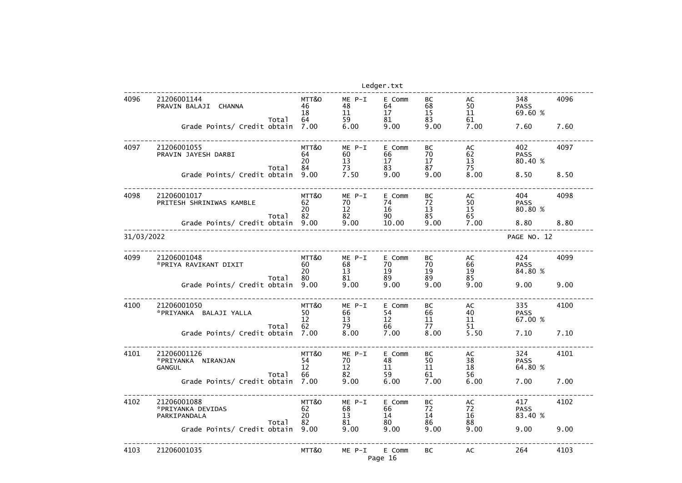|            |                                                                             |                                 |                                    | Ledger.txt                       |                              |                              |                                       |              |
|------------|-----------------------------------------------------------------------------|---------------------------------|------------------------------------|----------------------------------|------------------------------|------------------------------|---------------------------------------|--------------|
| 4096       | 21206001144<br>PRAVIN BALAJI CHANNA<br>Total<br>Grade Points/ Credit obtain | MTT&O<br>46<br>18<br>64<br>7.00 | $ME P-I$<br>48<br>11<br>59<br>6.00 | E Comm<br>64<br>17<br>81<br>9.00 | BC<br>68<br>15<br>83<br>9.00 | AC<br>50<br>11<br>61<br>7.00 | 348<br><b>PASS</b><br>69.60 %<br>7.60 | 4096<br>7.60 |
|            |                                                                             |                                 |                                    |                                  |                              |                              |                                       |              |
| 4097       | 21206001055<br>PRAVIN JAYESH DARBI<br>Total                                 | MTT&O<br>64<br>20<br>84         | $ME P-I$<br>60<br>13<br>73         | E Comm<br>66<br>17<br>83         | BC<br>70<br>17<br>87         | AC<br>62<br>13<br>75         | 402<br><b>PASS</b><br>80.40 %         | 4097         |
|            | Grade Points/ Credit obtain                                                 | 9.00                            | 7.50                               | 9.00                             | 9.00                         | 8.00                         | 8.50                                  | 8.50         |
| 4098       | 21206001017<br>PRITESH SHRINIWAS KAMBLE<br>Total                            | MTT&O<br>62<br>20<br>82         | $ME P-I$<br>70<br>12<br>82         | E Comm<br>74<br>16<br>90         | BC<br>72<br>13<br>85         | AC<br>50<br>15<br>65         | 404<br><b>PASS</b><br>80.80 %         | 4098         |
|            | Grade Points/ Credit obtain                                                 | 9.00                            | 9.00                               | 10.00                            | 9.00                         | 7.00                         | 8.80                                  | 8.80         |
| 31/03/2022 |                                                                             |                                 |                                    |                                  |                              |                              | PAGE NO. 12                           |              |
| 4099       | 21206001048<br>*PRIYA RAVIKANT DIXIT                                        | MTT&O<br>60<br>20<br>80         | $ME P-I$<br>68<br>13               | E Comm<br>70<br>19               | BC<br>70<br>19<br>89         | AC<br>66<br>19<br>85         | 424<br><b>PASS</b><br>84.80 %         | 4099         |
|            | Total<br>Grade Points/ Credit obtain                                        | 9.00                            | 81<br>9.00                         | 89<br>9.00                       | 9.00                         | 9.00                         | 9.00                                  | 9.00         |
| 4100       | 21206001050<br>*PRIYANKA<br>BALAJI YALLA<br>Total                           | MTT&O<br>50<br>12<br>62         | $ME P-I$<br>66<br>13<br>79         | E Comm<br>54<br>12<br>66         | ВC<br>66<br>11<br>77         | AC<br>40<br>11<br>51         | 335<br><b>PASS</b><br>67.00 %         | 4100         |
|            | Grade Points/ Credit obtain                                                 | 7.00                            | 8.00                               | 7.00                             | 8.00                         | 5.50                         | 7.10                                  | 7.10         |
| 4101       | 21206001126<br>*PRIYANKA NIRANJAN<br><b>GANGUL</b><br>Total                 | MTT&O<br>54<br>12<br>66         | ME P-I<br>70<br>12<br>82           | E Comm<br>48<br>11<br>59         | BC<br>50<br>11<br>61         | AC<br>38<br>18<br>56         | 324<br><b>PASS</b><br>64.80 %         | 4101         |
|            | Grade Points/ Credit obtain                                                 | 7.00                            | 9.00                               | 6.00                             | 7.00                         | 6.00                         | 7.00                                  | 7.00         |
| 4102       | 21206001088<br>*PRIYANKA DEVIDAS<br>PARKIPANDALA                            | MTT&O<br>62<br>20               | ME P-I<br>68<br>13                 | E Comm<br>66<br>14               | BC<br>72<br>14               | AC<br>72<br>16               | 417<br><b>PASS</b><br>83.40 %         | 4102         |
|            | Total<br>Grade Points/ Credit obtain                                        | 82<br>9.00                      | 81<br>9.00                         | 80<br>9.00                       | 86<br>9.00                   | 88<br>9.00                   | 9.00                                  | 9.00         |
| 4103       | 21206001035                                                                 | MTT&O                           | ME P-I                             | E Comm<br>Page 16                | BC                           | AC                           | 264                                   | 4103         |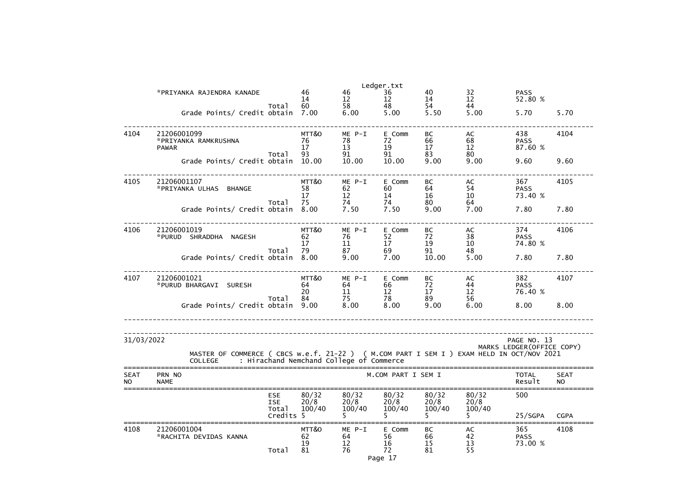|             |                                                                                                             |                     |                                          |                | Ledger.txt         |                |                 |                            |             |
|-------------|-------------------------------------------------------------------------------------------------------------|---------------------|------------------------------------------|----------------|--------------------|----------------|-----------------|----------------------------|-------------|
|             | *PRIYANKA RAJENDRA KANADE                                                                                   |                     | 46                                       | 46             | 36                 | 40             | 32              | <b>PASS</b>                |             |
|             |                                                                                                             | Total               | 14<br>60                                 | 12<br>58       | 12<br>48           | 14<br>54       | 12<br>44        | 52.80 %                    |             |
|             | Grade Points/ Credit obtain                                                                                 |                     | 7.00                                     | 6.00           | 5.00               | 5.50           | 5.00            | 5.70                       | 5.70        |
|             |                                                                                                             |                     |                                          |                |                    |                |                 |                            |             |
| 4104        | 21206001099                                                                                                 |                     | MTT&O                                    | ME P-I         | E Comm             | BC             | AC              | 438                        | 4104        |
|             | *PRIYANKA RAMKRUSHNA                                                                                        |                     | 76                                       | 78             | 72                 | 66             | 68              | <b>PASS</b>                |             |
|             | <b>PAWAR</b>                                                                                                | Total               | 17<br>93                                 | 13<br>91       | 19<br>91           | 17<br>83       | 12<br>80        | 87.60 %                    |             |
|             | Grade Points/ Credit obtain 10.00                                                                           |                     |                                          | 10.00          | 10.00              | 9.00           | 9.00            | 9.60                       | 9.60        |
|             |                                                                                                             |                     |                                          |                |                    |                |                 |                            |             |
| 4105        | 21206001107                                                                                                 |                     | MTT&O                                    | ME P-I         | E Comm             | BC             | AC              | 367                        | 4105        |
|             | *PRIYANKA ULHAS BHANGE                                                                                      |                     | 58                                       | 62             | 60                 | 64             | 54              | <b>PASS</b>                |             |
|             |                                                                                                             |                     | 17                                       | 12             | 14                 | 16             | 10 <sup>°</sup> | 73.40 %                    |             |
|             | Grade Points/ Credit obtain                                                                                 | Total               | 75<br>8.00                               | 74<br>7.50     | 74<br>7.50         | 80<br>9.00     | 64<br>7.00      | 7.80                       | 7.80        |
|             |                                                                                                             |                     |                                          |                |                    |                |                 |                            |             |
| 4106        | 21206001019                                                                                                 |                     | MTT&O                                    | ME P-I         | E Comm             | BC             | AC              | 374                        | 4106        |
|             | *PURUD SHRADDHA NAGESH                                                                                      |                     | 62                                       | 76             | 52                 | 72             | 38              | <b>PASS</b>                |             |
|             |                                                                                                             |                     | $17 \,$                                  | 11             | 17                 | 19             | 10              | 74.80 %                    |             |
|             | Grade Points/ Credit obtain                                                                                 | Total               | 79<br>8.00                               | 87<br>9.00     | 69<br>7.00         | 91<br>10.00    | 48<br>5.00      | 7.80                       | 7.80        |
|             |                                                                                                             |                     |                                          |                |                    |                |                 |                            |             |
| 4107        | 21206001021                                                                                                 |                     | MTT&O                                    | ME P-I         | E Comm             | BC             | AC              | 382                        | 4107        |
|             | *PURUD BHARGAVI SURESH                                                                                      |                     | 64                                       | 64             | 66                 | 72             | 44              | <b>PASS</b>                |             |
|             |                                                                                                             |                     | 20                                       | 11             | 12                 | 17             | 12              | 76.40 %                    |             |
|             | Grade Points/ Credit obtain                                                                                 | Total               | 84<br>9.00                               | 75<br>8.00     | 78<br>8.00         | 89<br>9.00     | 56<br>6.00      | 8.00                       | 8.00        |
|             |                                                                                                             |                     |                                          |                |                    |                |                 |                            |             |
|             |                                                                                                             |                     |                                          |                |                    |                |                 |                            |             |
| 31/03/2022  |                                                                                                             |                     |                                          |                |                    |                |                 | PAGE NO. 13                |             |
|             |                                                                                                             |                     |                                          |                |                    |                |                 | MARKS LEDGER (OFFICE COPY) |             |
|             | MASTER OF COMMERCE ( CBCS w.e.f. 21-22 ) ( M.COM PART I SEM I ) EXAM HELD IN OCT/NOV 2021<br><b>COLLEGE</b> |                     | : Hirachand Nemchand College of Commerce |                |                    |                |                 |                            |             |
| <b>SEAT</b> | PRN NO                                                                                                      |                     |                                          |                | M.COM PART I SEM I |                |                 | <b>TOTAL</b>               | <b>SEAT</b> |
| <b>NO</b>   | <b>NAME</b>                                                                                                 |                     |                                          |                |                    |                |                 | Result                     | <b>NO</b>   |
|             |                                                                                                             | <b>ESE</b>          | 80/32                                    | 80/32          | 80/32              | 80/32          | 80/32           | 500                        |             |
|             |                                                                                                             | <b>ISE</b><br>Total | 20/8<br>100/40                           | 20/8<br>100/40 | 20/8<br>100/40     | 20/8<br>100/40 | 20/8<br>100/40  |                            |             |
|             |                                                                                                             | Credits 5           |                                          |                | 5.                 | 5.             | 5.              | 25/SGPA                    | <b>CGPA</b> |
| 4108        | 21206001004                                                                                                 |                     | MTT&O                                    | ME P-I         | E Comm             | BC             | AC              | 365                        | 4108        |
|             | *RACHITA DEVIDAS KANNA                                                                                      |                     | 62                                       | 64             | 56                 | 66             | 42              | <b>PASS</b>                |             |
|             |                                                                                                             |                     | 19                                       | 12             | 16                 | 15             | 13              | 73.00 %                    |             |
|             |                                                                                                             | Total               | 81                                       | 76             | 72                 | 81             | 55              |                            |             |
|             |                                                                                                             |                     |                                          |                | Page 17            |                |                 |                            |             |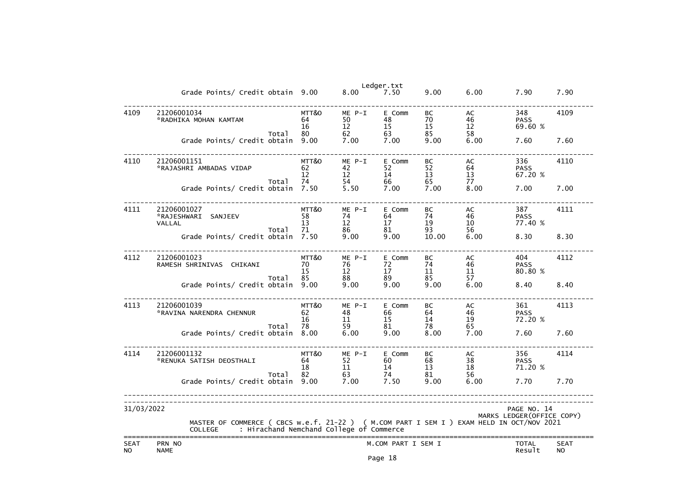|                          |                                                                                                                                                         |                         |                          | Ledger.txt                    |                      |                          |                               |                          |
|--------------------------|---------------------------------------------------------------------------------------------------------------------------------------------------------|-------------------------|--------------------------|-------------------------------|----------------------|--------------------------|-------------------------------|--------------------------|
|                          | Grade Points/ Credit obtain 9.00                                                                                                                        |                         | 8.00                     | 7.50                          | 9.00                 | 6.00                     | 7.90                          | 7.90                     |
| 4109                     | 21206001034<br>*RADHIKA MOHAN KAMTAM<br>Total                                                                                                           | MTT&O<br>64<br>16<br>80 | ME P-I<br>50<br>12<br>62 | E Comm<br>48<br>15<br>63      | BC<br>70<br>15<br>85 | AC<br>46<br>12<br>58     | 348<br><b>PASS</b><br>69.60 % | 4109                     |
|                          | Grade Points/ Credit obtain                                                                                                                             | 9.00                    | 7.00                     | 7.00                          | 9.00                 | 6.00                     | 7.60                          | 7.60                     |
| 4110                     | 21206001151<br>*RAJASHRI AMBADAS VIDAP<br>Total                                                                                                         | MTT&O<br>62<br>12<br>74 | ME P-I<br>42<br>12<br>54 | E Comm<br>52<br>14<br>66      | BC<br>52<br>13<br>65 | AC<br>64<br>13<br>77     | 336<br><b>PASS</b><br>67.20 % | 4110                     |
|                          | Grade Points/ Credit obtain                                                                                                                             | 7.50                    | 5.50                     | 7.00                          | 7.00                 | 8.00                     | 7.00                          | 7.00                     |
| 4111                     | 21206001027<br>*RAJESHWARI<br>SANJEEV<br><b>VALLAL</b>                                                                                                  | MTT&O<br>58<br>13       | ME P-I<br>74<br>12       | E Comm<br>64<br>$17 \,$       | BC<br>74<br>19       | AC<br>46<br>10<br>56     | 387<br><b>PASS</b><br>77.40 % | 4111                     |
|                          | Total<br>Grade Points/ Credit obtain                                                                                                                    | 71<br>7.50              | 86<br>9.00               | 81<br>9.00                    | 93<br>10.00          | 6.00                     | 8.30                          | 8.30                     |
| 4112                     | 21206001023<br>RAMESH SHRINIVAS CHIKANI<br>Total                                                                                                        | MTT&O<br>70<br>15<br>85 | ME P-I<br>76<br>12<br>88 | E Comm<br>72<br>$17 \,$<br>89 | BC<br>74<br>11<br>85 | AC<br>46<br>$11\,$<br>57 | 404<br><b>PASS</b><br>80.80 % | 4112                     |
|                          | Grade Points/ Credit obtain                                                                                                                             | 9.00                    | 9.00                     | 9.00                          | 9.00                 | 6.00                     | 8.40                          | 8.40                     |
| 4113                     | 21206001039<br>*RAVINA NARENDRA CHENNUR                                                                                                                 | MTT&O<br>62<br>16<br>78 | ME P-I<br>48<br>11       | E Comm<br>66<br>15            | BC<br>64<br>14<br>78 | AC<br>46<br>19           | 361<br><b>PASS</b><br>72.20 % | 4113                     |
|                          | Total<br>Grade Points/ Credit obtain                                                                                                                    | 8.00                    | 59<br>6.00               | 81<br>9.00                    | 8.00                 | 65<br>7.00               | 7.60                          | 7.60                     |
| 4114                     | 21206001132<br>*RENUKA SATISH DEOSTHALI                                                                                                                 | MTT&O<br>64<br>18       | ME P-I<br>52<br>11       | E Comm<br>60<br>14            | BC<br>68<br>13       | AC<br>38<br>18           | 356<br><b>PASS</b><br>71.20 % | 4114                     |
|                          | Total<br>Grade Points/ Credit obtain                                                                                                                    | 82<br>9.00              | 63<br>7.00               | 74<br>7.50                    | 81<br>9.00           | 56<br>6.00               | 7.70                          | 7.70                     |
| 31/03/2022               |                                                                                                                                                         |                         |                          |                               |                      |                          | PAGE NO. 14                   |                          |
|                          | MASTER OF COMMERCE ( CBCS w.e.f. 21-22 ) ( M.COM PART I SEM I ) EXAM HELD IN OCT/NOV 2021<br>: Hirachand Nemchand College of Commerce<br><b>COLLEGE</b> |                         |                          |                               |                      |                          | MARKS LEDGER (OFFICE COPY)    |                          |
| <b>SEAT</b><br><b>NO</b> | PRN NO<br><b>NAME</b>                                                                                                                                   |                         |                          | M.COM PART I SEM I            |                      |                          | <b>TOTAL</b><br>Result        | <b>SEAT</b><br><b>NO</b> |

Page 18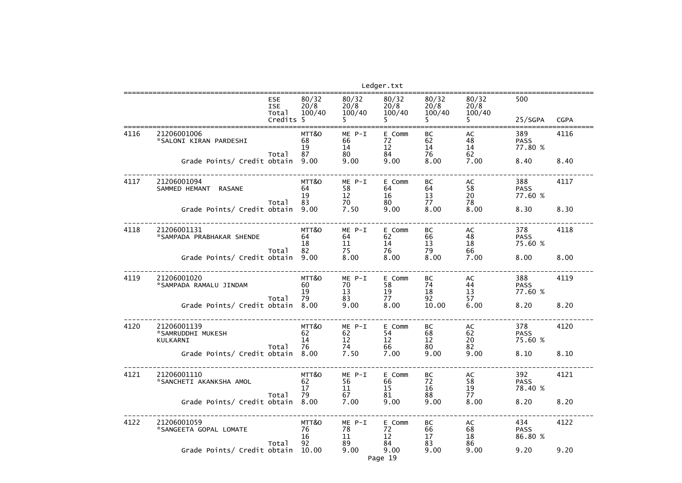## ==================================================================================================================25/SGPA CGPA 77.80 % PASS<br>77.60 % ------------------------------------------------------------------------------------------------------------------ $75.60%$ 77.60 % ------------------------------------------------------------------------------------------------------------------75.60 % ------------------------------------------------------------------------------------------------------------------PASS<br>78.40 % ------------------------------------------------------------------------------------------------------------------86.80 %

|      |                                               |                                                |                           |                              | Ledger.txt                    |                                   |                         |                               |             |
|------|-----------------------------------------------|------------------------------------------------|---------------------------|------------------------------|-------------------------------|-----------------------------------|-------------------------|-------------------------------|-------------|
|      |                                               | <b>ESE</b><br><b>ISE</b><br>Total<br>Credits 5 | 80/32<br>20/8<br>100/40   | 80/32<br>20/8<br>100/40      | 80/32<br>20/8<br>100/40       | 80/32<br>20/8<br>100/40           | 80/32<br>20/8<br>100/40 | 500<br>25/SGPA                | <b>CGPA</b> |
| 4116 | 21206001006<br>*SALONI KIRAN PARDESHI         | Total                                          | MTT&O<br>68<br>19<br>87   | $ME P-I$<br>66<br>14<br>80   | E Comm<br>72<br>12<br>84      | <b>BC</b><br>62<br>14<br>76       | AC<br>48<br>14<br>62    | 389<br><b>PASS</b><br>77.80 % | 4116        |
|      | Grade Points/ Credit obtain                   |                                                | 9.00                      | 9.00                         | 9.00                          | 8.00                              | 7.00                    | 8.40                          | 8.40        |
| 4117 | 21206001094<br>SAMMED HEMANT<br><b>RASANE</b> |                                                | MTT&O<br>64<br>19         | $ME$ $P-I$<br>58<br>12       | E Comm<br>64<br>16            | BC<br>64<br>13                    | AC<br>58<br>20          | 388<br><b>PASS</b><br>77.60 % | 4117        |
|      | Grade Points/ Credit obtain                   | Total                                          | 83<br>9.00                | 70<br>7.50                   | 80<br>9.00                    | 77<br>8.00                        | 78<br>8.00              | 8.30                          | 8.30        |
| 4118 | 21206001131<br>*SAMPADA PRABHAKAR SHENDE      | Total                                          | MTT&O<br>64<br>18<br>82   | $ME P-I$<br>64<br>11<br>75   | E Comm<br>62<br>14<br>76      | <b>BC</b><br>66<br>13<br>79       | AC<br>48<br>18<br>66    | 378<br><b>PASS</b><br>75.60 % | 4118        |
|      | Grade Points/ Credit obtain                   |                                                | 9.00                      | 8.00                         | 8.00                          | 8.00                              | 7.00                    | 8.00                          | 8.00        |
| 4119 | 21206001020<br>*SAMPADA RAMALU JINDAM         | Total                                          | MTT&O<br>60<br>19<br>79   | $ME$ $P-I$<br>70<br>13<br>83 | E Comm<br>58<br>19<br>77      | <b>BC</b><br>74<br>18<br>92       | AC<br>44<br>13<br>57    | 388<br><b>PASS</b><br>77.60 % | 4119        |
|      | Grade Points/ Credit obtain                   |                                                | 8.00                      | 9.00                         | 8.00                          | 10.00                             | 6.00                    | 8.20                          | 8.20        |
| 4120 | 21206001139<br>*SAMRUDDHI MUKESH<br>KULKARNI  | Total                                          | MTT&O<br>62<br>14<br>76   | $ME$ $P-I$<br>62<br>12<br>74 | E Comm<br>54<br>12<br>66      | <b>BC</b><br>68<br>12<br>80       | AC<br>62<br>20<br>82    | 378<br><b>PASS</b><br>75.60 % | 4120        |
|      | Grade Points/ Credit obtain 8.00              |                                                |                           | 7.50                         | 7.00                          | 9.00                              | 9.00                    | 8.10                          | 8.10        |
| 4121 | 21206001110<br>*SANCHETI AKANKSHA AMOL        | Total                                          | MTT&O<br>62<br>17<br>79   | ME P-I<br>56<br>11           | E Comm<br>66<br>15<br>81 — 10 | BC<br>72<br>16<br>88              | AC<br>58<br>19<br>77    | 392<br><b>PASS</b><br>78.40 % | 4121        |
|      | Grade Points/ Credit obtain 8.00              |                                                |                           | 7.00                         | 9.00                          | 9.00                              | 8.00                    | 8.20                          | 8.20        |
| 4122 | 21206001059<br>*SANGEETA GOPAL LOMATE         | Total                                          | MTT&O<br>- 76<br>16<br>92 | ME P-I<br>78<br>11<br>89     | E Comm<br>72<br>12<br>84      | BC<br>66<br>17 <sup>2</sup><br>83 | AC<br>68<br>18<br>86    | 434<br><b>PASS</b><br>86.80 % | 4122        |
|      | Grade Points/ Credit obtain 10.00             |                                                |                           | 9.00                         | 9.00<br>Page 19               | 9.00                              | 9.00                    | 9.20                          | 9.20        |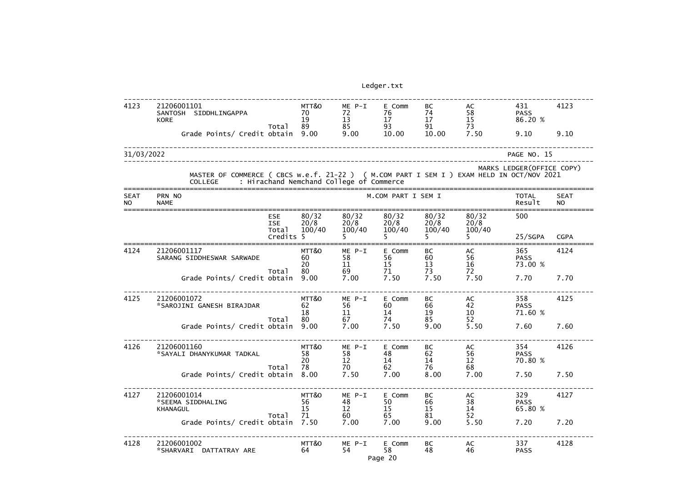| 4123                     | 21206001101<br>SANTOSH SIDDHLINGAPPA<br><b>KORE</b>                                                         |                                                | MTT&O<br>70<br>19       | $ME P-I$<br>72<br>13                     | E Comm<br>76<br>17       | BC<br>74<br>17          | AC<br>58<br>15          | 431<br><b>PASS</b><br>86.20 % | 4123                     |
|--------------------------|-------------------------------------------------------------------------------------------------------------|------------------------------------------------|-------------------------|------------------------------------------|--------------------------|-------------------------|-------------------------|-------------------------------|--------------------------|
|                          | Grade Points/ Credit obtain                                                                                 | Total                                          | 89<br>9.00              | 85<br>9.00                               | 93<br>10.00              | 91<br>10.00             | 73<br>7.50              | 9.10                          | 9.10                     |
| 31/03/2022               |                                                                                                             |                                                |                         |                                          |                          |                         |                         | PAGE NO. 15                   |                          |
|                          | MASTER OF COMMERCE ( CBCS w.e.f. 21-22 ) ( M.COM PART I SEM I ) EXAM HELD IN OCT/NOV 2021<br><b>COLLEGE</b> |                                                |                         | : Hirachand Nemchand College of Commerce |                          |                         |                         | MARKS LEDGER (OFFICE COPY)    |                          |
| <b>SEAT</b><br><b>NO</b> | PRN NO<br><b>NAME</b>                                                                                       |                                                |                         |                                          | M.COM PART I SEM I       |                         |                         | <b>TOTAL</b><br>Result        | <b>SEAT</b><br><b>NO</b> |
|                          |                                                                                                             | <b>ESE</b><br><b>ISE</b><br>Total<br>Credits 5 | 80/32<br>20/8<br>100/40 | 80/32<br>20/8<br>100/40                  | 80/32<br>20/8<br>100/40  | 80/32<br>20/8<br>100/40 | 80/32<br>20/8<br>100/40 | 500<br>25/SGPA                | <b>CGPA</b>              |
| 4124                     | 21206001117<br>SARANG SIDDHESWAR SARWADE                                                                    | Total                                          | MTT&O<br>60<br>20<br>80 | $ME P-I$<br>58<br>11<br>69               | E Comm<br>56<br>15<br>71 | BC<br>60<br>13<br>73    | AC<br>56<br>16<br>72    | 365<br><b>PASS</b><br>73.00 % | 4124                     |
|                          | Grade Points/ Credit obtain                                                                                 |                                                | 9.00                    | 7.00                                     | 7.50                     | 7.50                    | 7.50                    | 7.70                          | 7.70                     |
| 4125                     | 21206001072<br>*SAROJINI GANESH BIRAJDAR                                                                    |                                                | MTT&O<br>62<br>18<br>80 | $ME P-I$<br>56<br>11<br>67               | E Comm<br>60<br>14<br>74 | BC<br>66<br>19<br>85    | AC<br>42<br>10<br>52    | 358<br><b>PASS</b><br>71.60 % | 4125                     |
|                          | Grade Points/ Credit obtain                                                                                 | Total                                          | 9.00                    | 7.00                                     | 7.50                     | 9.00                    | 5.50                    | 7.60                          | 7.60                     |
| 4126                     | 21206001160<br>*SAYALI DHANYKUMAR TADKAL                                                                    |                                                | MTT&O<br>58<br>20       | ME P-I<br>58<br>12                       | E Comm<br>48<br>14       | <b>BC</b><br>62<br>14   | AC<br>56<br>12          | 354<br><b>PASS</b><br>70.80 % | 4126                     |
|                          | Grade Points/ Credit obtain                                                                                 | Total                                          | 78<br>8.00              | 70<br>7.50                               | 62<br>7.00               | 76<br>8.00              | 68<br>7.00              | 7.50                          | 7.50                     |
| 4127                     | 21206001014<br>*SEEMA SIDDHALING<br><b>KHANAGUL</b>                                                         | Total                                          | MTT&O<br>56<br>15<br>71 | ME P-I<br>48<br>12<br>60                 | E Comm<br>50<br>15<br>65 | BC<br>66<br>15<br>81    | AC<br>38<br>14<br>52    | 329<br><b>PASS</b><br>65.80 % | 4127                     |
|                          | Grade Points/ Credit obtain                                                                                 |                                                | 7.50                    | 7.00                                     | 7.00                     | 9.00                    | 5.50                    | 7.20                          | 7.20                     |
| 4128                     | 21206001002<br>*SHARVARI DATTATRAY ARE                                                                      |                                                | MTT&O<br>64             | ME P-I<br>54                             | E Comm<br>58<br>Page 20  | BC<br>48                | AC<br>46                | 337<br><b>PASS</b>            | 4128                     |

| 431<br><b>PASS</b><br>86.20 %                               | ----<br>4123                              |
|-------------------------------------------------------------|-------------------------------------------|
| 9.10                                                        | 9.10                                      |
| GE NO. 15<br>GER(OFFICE COPY)<br><b>CT/NOV 2021</b>         |                                           |
| TOTAL<br>Result<br>==========<br>500                        | ==================<br>SEAT<br>NO<br>≔==== |
| 25/SGPA CGPA<br>==========<br>365<br><b>PASS</b><br>73.00 % | .=========<br>4124                        |
| 7.70                                                        | 7.70                                      |
| 358<br><b>PASS</b><br>71.60 %                               | 4125                                      |
| 7.60                                                        | 7.60                                      |
| 354<br><b>PASS</b><br>70.80 %                               | 4126                                      |
| 7.50                                                        | 7.50                                      |
| 329<br><b>PASS</b><br>65.80 %                               | 4127                                      |
| 7.20                                                        | 7.20                                      |
| 337<br><b>PASS</b>                                          | 4128                                      |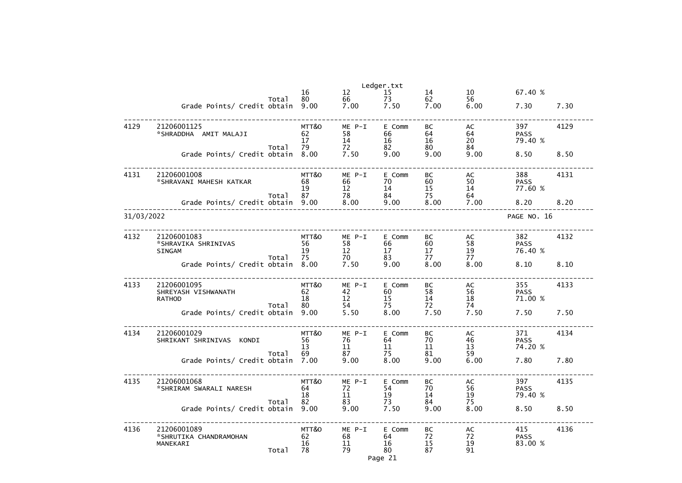|            |                                    |       |            |            | Ledger.txt            |            |                 |                        |      |
|------------|------------------------------------|-------|------------|------------|-----------------------|------------|-----------------|------------------------|------|
|            |                                    |       | 16         | 12         | 15                    | 14         | 10              | 67.40 %                |      |
|            | Grade Points/ Credit obtain        | Total | 80<br>9.00 | 66<br>7.00 | 73<br>7.50            | 62<br>7.00 | 56<br>6.00      | 7.30                   | 7.30 |
|            |                                    |       |            |            |                       |            |                 |                        |      |
| 4129       | 21206001125                        |       | MTT&O      | ME P-I     | E Comm                | BC         | AC              | 397                    | 4129 |
|            | *SHRADDHA AMIT MALAJI              |       | 62         | 58         | 66                    | 64         | 64              | <b>PASS</b>            |      |
|            |                                    |       | 17         | 14         | 16                    | 16         | 20              | 79.40 %                |      |
|            | Grade Points/ Credit obtain        | Total | 79<br>8.00 | 72<br>7.50 | 82<br>9.00            | 80<br>9.00 | 84<br>9.00      | 8.50                   | 8.50 |
|            |                                    |       |            |            |                       |            |                 |                        |      |
| 4131       | 21206001008                        |       | MTT&O      | $ME P-I$   | E Comm                | BC         | AC              | 388                    | 4131 |
|            | *SHRAVANI MAHESH KATKAR            |       | 68         | 66         | 70                    | 60         | 50              | <b>PASS</b>            |      |
|            |                                    |       | 19         | 12         | 14                    | 15         | 14              | 77.60 %                |      |
|            | Grade Points/ Credit obtain        | Total | 87<br>9.00 | 78<br>8.00 | 84<br>9.00            | 75<br>8.00 | 64<br>7.00      | 8.20                   | 8.20 |
|            |                                    |       |            |            |                       |            |                 |                        |      |
| 31/03/2022 |                                    |       |            |            |                       |            |                 | PAGE NO. 16            |      |
| 4132       | 21206001083                        |       | MTT&O      | $ME P-I$   | E Comm                | BC         | AC              | 382                    | 4132 |
|            | *SHRAVIKA SHRINIVAS                |       | 56         | 58         | 66                    | 60         | 58              | <b>PASS</b>            |      |
|            | <b>SINGAM</b>                      | Total | 19<br>75   | 12<br>70   | 17<br>83              | 17<br>77   | 19<br>77        | 76.40 %                |      |
|            | Grade Points/ Credit obtain        |       | 8.00       | 7.50       | 9.00                  | 8.00       | 8.00            | 8.10                   | 8.10 |
|            |                                    |       |            |            |                       |            |                 |                        |      |
| 4133       | 21206001095                        |       | MTT&O      | $ME P-I$   | E Comm                | BC         | AC              | 355                    | 4133 |
|            | SHREYASH VISHWANATH                |       | 62         | 42         | 60                    | 58         | 56              | <b>PASS</b>            |      |
|            | <b>RATHOD</b>                      | Total | 18<br>80   | 12<br>54   | 15<br>75              | 14<br>72   | 18<br>74        | 71.00 %                |      |
|            | Grade Points/ Credit obtain        |       | 9.00       | 5.50       | 8.00                  | 7.50       | 7.50            | 7.50                   | 7.50 |
|            |                                    |       |            |            |                       |            |                 |                        |      |
| 4134       | 21206001029                        |       | MTT&O      | ME P-I     | E Comm                | BC         | AC              | 371                    | 4134 |
|            | SHRIKANT SHRINIVAS KONDI           |       | 56         | 76         | 64                    | 70         | 46              | <b>PASS</b>            |      |
|            |                                    | Total | 13<br>69   | 11<br>87   | 11<br>$\overline{75}$ | 11<br>81   | 13<br>59        | 74.20 %                |      |
|            | Grade Points/ Credit obtain 7.00   |       |            | 9.00       | 8.00                  | 9.00       | 6.00            | 7.80                   | 7.80 |
|            |                                    |       |            |            |                       |            |                 |                        |      |
| 4135       | 21206001068                        |       | MTT&O      | $ME P-I$   | E Comm                | BC         | AC              | 397                    | 4135 |
|            | *SHRIRAM SWARALI NARESH            |       | 64<br>18   | 72<br>11   | 54<br>19              | 70<br>14   | 56              | <b>PASS</b><br>79.40 % |      |
|            |                                    | Total | 82         | 83         | 73                    | 84         | $\frac{19}{75}$ |                        |      |
|            | Grade Points/ Credit obtain 9.00   |       |            | 9.00       | 7.50                  | 9.00       | 8.00            | 8.50                   | 8.50 |
|            |                                    |       |            |            |                       |            |                 |                        |      |
| 4136       | 21206001089                        |       | MTT&O      | ME P-I     | E Comm                | BC<br>72   | AC              | 415                    | 4136 |
|            | *SHRUTIKA CHANDRAMOHAN<br>MANEKARI |       | 62<br>16   | 68<br>11   | 64<br>16              | 15         | 72<br>19        | <b>PASS</b><br>83.00 % |      |
|            |                                    | Total | 78         | 79         | 80                    | 87         | 91              |                        |      |
|            |                                    |       |            |            | Page 21               |            |                 |                        |      |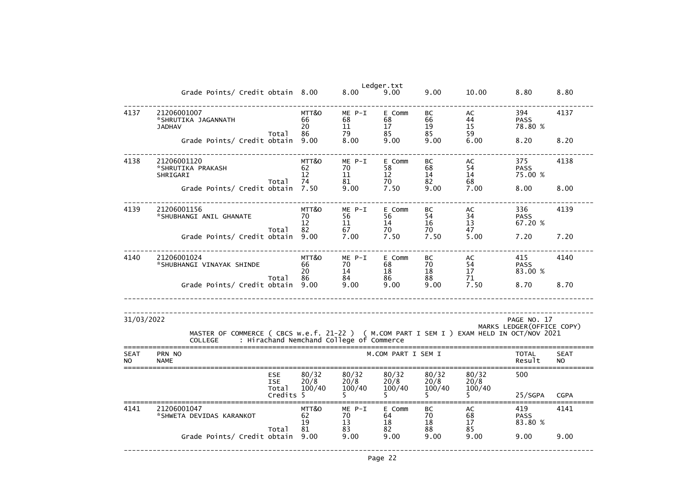|                          | Grade Points/ Credit obtain 8.00 8.00                                                                                                         |                          |                                  |                                                       | Ledger.txt<br>9.00            | 9.00                  | 10.00                | 8.80                          | 8.80                     |
|--------------------------|-----------------------------------------------------------------------------------------------------------------------------------------------|--------------------------|----------------------------------|-------------------------------------------------------|-------------------------------|-----------------------|----------------------|-------------------------------|--------------------------|
| 4137                     | 21206001007<br>*SHRUTIKA JAGANNATH<br><b>JADHAV</b>                                                                                           | Total                    | MTT&O<br>66<br>20<br>86 — 1      | ME P-I<br>68<br>11<br>79                              | E Comm<br>68<br>$17 \,$<br>85 | BC<br>66<br>19<br>85  | AC<br>44<br>15<br>59 | 394<br><b>PASS</b><br>78.80 % | 4137                     |
|                          | Grade Points/ Credit obtain 9.00                                                                                                              |                          |                                  | 8.00                                                  | 9.00                          | 9.00                  | 6.00                 | 8.20                          | 8.20                     |
| 4138                     | 21206001120<br>*SHRUTIKA PRAKASH<br>SHRIGARI                                                                                                  | Total                    | MTT&O<br>62<br>12<br>74          | ME P-I<br>70<br>11                                    | E Comm<br>58<br>12<br>70      | BC<br>68<br>14<br>82  | AC<br>54<br>14<br>68 | 375<br><b>PASS</b><br>75.00 % | 4138                     |
|                          | Grade Points/ Credit obtain 7.50                                                                                                              |                          | $81\over 9.0$                    | 9.00                                                  | 7.50                          | 9.00                  | 7.00                 | 8.00                          | 8.00                     |
| 4139                     | 21206001156<br>*SHUBHANGI ANIL GHANATE                                                                                                        |                          | MTT&O<br>70<br>$12 \overline{ }$ | ME P-I<br>56<br>11                                    | E Comm<br>56<br>14            | <b>BC</b><br>54<br>16 | AC<br>34<br>13       | 336<br><b>PASS</b><br>67.20 % | 4139                     |
|                          | Grade Points/ Credit obtain 9.00                                                                                                              | Total                    | 82 — 10                          | 67<br>$\check{7}$ .00                                 | 70<br>7.50                    | 70<br>7.50            | 47<br>5.00           | 7.20                          | 7.20                     |
| 4140                     | 21206001024<br>*SHUBHANGI VINAYAK SHINDE                                                                                                      |                          | MTT&O<br>66<br>20                | ME P-I<br>70<br>14                                    | E Comm<br>68<br>18            | BC<br>70<br>18        | AC<br>54<br>17       | 415<br><b>PASS</b><br>83.00 % | 4140                     |
|                          | Grade Points/ Credit obtain 9.00                                                                                                              | Total                    |                                  | $\begin{array}{r} 66 & 84 \\ 9.00 & 9.00 \end{array}$ | 86<br>9.00                    | 88<br>9.00            | 71<br>7.50           | 8.70                          | 8.70                     |
| 31/03/2022               |                                                                                                                                               |                          |                                  |                                                       |                               |                       |                      | PAGE NO. 17                   |                          |
|                          | MASTER OF COMMERCE ( CBCS w.e.f. 21-22 ) ( M.COM PART I SEM I ) EXAM HELD IN OCT/NOV 2021<br>COLLEGE : Hirachand Nemchand College of Commerce |                          |                                  |                                                       |                               |                       |                      | MARKS LEDGER (OFFICE COPY)    |                          |
| <b>SEAT</b><br><b>NO</b> | PRN NO<br><b>NAME</b>                                                                                                                         |                          |                                  |                                                       | M.COM PART I SEM I            |                       |                      | <b>TOTAL</b><br>Result        | <b>SEAT</b><br><b>NO</b> |
|                          |                                                                                                                                               | <b>ESE</b><br><b>ISE</b> | 80/32<br>20/8                    | 80/32<br>20/8                                         | 80/32<br>20/8                 | 80/32<br>20/8         | 80/32<br>20/8        | 500                           |                          |
|                          |                                                                                                                                               | Total<br>Credits 5       | 100/40                           | 100/40                                                | 100/40                        | 100/40<br>5.          | 100/40               | 25/SGPA                       | <b>CGPA</b>              |
| 4141                     | 21206001047<br>*SHWETA DEVIDAS KARANKOT                                                                                                       | Total                    | MTT&O<br>62<br>19<br>81          | ME P-I<br>70<br>13<br>83                              | E Comm<br>64<br>18<br>82      | BC<br>70<br>18<br>88  | AC<br>68<br>17<br>85 | 419<br><b>PASS</b><br>83.80 % | 4141                     |
|                          | Grade Points/ Credit obtain                                                                                                                   |                          | 9.00                             | 9.00                                                  | 9.00                          | 9.00                  | 9.00                 | 9.00                          | 9.00                     |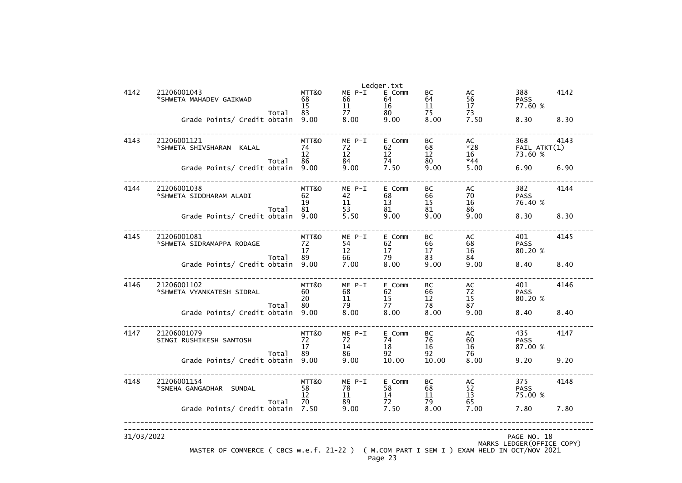|            |                                                                                           |            |            | Ledger.txt  |             |               |                            |      |  |  |  |
|------------|-------------------------------------------------------------------------------------------|------------|------------|-------------|-------------|---------------|----------------------------|------|--|--|--|
| 4142       | 21206001043                                                                               | MTT&O      | $ME P-I$   | E Comm      | ВC          | AC            | 388                        | 4142 |  |  |  |
|            | *SHWETA MAHADEV GAIKWAD                                                                   | 68<br>15   | 66<br>11   | 64<br>16    | 64<br>11    | 56<br>17      | <b>PASS</b><br>77.60 %     |      |  |  |  |
|            | Total                                                                                     | 83         | 77         | 80          | 75          | 73            |                            |      |  |  |  |
|            | Grade Points/ Credit obtain                                                               | 9.00       | 8.00       | 9.00        | 8.00        | 7.50          | 8.30                       | 8.30 |  |  |  |
|            |                                                                                           |            |            |             |             |               |                            |      |  |  |  |
| 4143       | 21206001121                                                                               | MTT&O      | ME P-I     | E Comm      | BC          | AC            | 368                        | 4143 |  |  |  |
|            | *SHWETA SHIVSHARAN KALAL                                                                  | 74         | 72         | 62          | 68          | $*28$         | FAIL ATKT(1)               |      |  |  |  |
|            |                                                                                           | 12         | 12         | 12          | 12          | 16            | 73.60 %                    |      |  |  |  |
|            | Total<br>Grade Points/ Credit obtain                                                      | 86<br>9.00 | 84<br>9.00 | 74<br>7.50  | 80<br>9.00  | $*44$<br>5.00 | 6.90                       | 6.90 |  |  |  |
|            |                                                                                           |            |            |             |             |               |                            |      |  |  |  |
| 4144       | 21206001038                                                                               | MTT&O      | $ME P-I$   | E Comm      | BC          | AC            | 382                        | 4144 |  |  |  |
|            | *SHWETA SIDDHARAM ALADI                                                                   | 62         | 42         | 68          | 66          | 70            | <b>PASS</b>                |      |  |  |  |
|            |                                                                                           | 19         | 11         | 13          | 15          | 16            | 76.40 %                    |      |  |  |  |
|            | Total                                                                                     | 81<br>9.00 | 53<br>5.50 | 81<br>9.00  | 81<br>9.00  | 86<br>9.00    | 8.30                       | 8.30 |  |  |  |
|            | Grade Points/ Credit obtain                                                               |            |            |             |             |               |                            |      |  |  |  |
| 4145       | 21206001081                                                                               | MTT&O      | $ME P-I$   | E Comm      | BC          | AC            | 401                        | 4145 |  |  |  |
|            | *SHWETA SIDRAMAPPA RODAGE                                                                 | 72         | 54         | 62          | 66          | 68            | <b>PASS</b>                |      |  |  |  |
|            |                                                                                           | 17         | 12         | 17          | 17          | 16            | 80.20 %                    |      |  |  |  |
|            | Total                                                                                     | 89<br>9.00 | 66<br>7.00 | 79<br>8.00  | 83          | 84            |                            |      |  |  |  |
|            | Grade Points/ Credit obtain                                                               |            |            |             | 9.00        | 9.00          | 8.40                       | 8.40 |  |  |  |
| 4146       | 21206001102                                                                               | MTT&O      | $ME P-I$   | E Comm      | ВC          | AC            | 401                        | 4146 |  |  |  |
|            | *SHWETA VYANKATESH SIDRAL                                                                 | 60         | 68         | 62          | 66          | 72            | <b>PASS</b>                |      |  |  |  |
|            |                                                                                           | 20         | 11         | 15          | 12          | 15            | 80.20 %                    |      |  |  |  |
|            | Total<br>Grade Points/ Credit obtain                                                      | 80<br>9.00 | 79<br>8.00 | 77<br>8.00  | 78<br>8.00  | 87<br>9.00    | 8.40                       | 8.40 |  |  |  |
|            |                                                                                           |            |            |             |             |               |                            |      |  |  |  |
| 4147       | 21206001079                                                                               | MTT&O      | ME P-I     | E Comm      | BC          | AC            | 435                        | 4147 |  |  |  |
|            | SINGI RUSHIKESH SANTOSH                                                                   | 72         | 72         | 74          | 76          | 60            | <b>PASS</b>                |      |  |  |  |
|            |                                                                                           | 17         | 14         | 18          | 16          | 16            | 87.00 %                    |      |  |  |  |
|            | Total<br>Grade Points/ Credit obtain                                                      | 89<br>9.00 | 86         | 92<br>10.00 | 92<br>10.00 | 76<br>8.00    | 9.20                       | 9.20 |  |  |  |
|            |                                                                                           |            | 9.00       |             |             |               |                            |      |  |  |  |
| 4148       | 21206001154                                                                               | MTT&O      | ME P-I     | E Comm      | BC          | AC            | 375                        | 4148 |  |  |  |
|            | *SNEHA GANGADHAR SUNDAL                                                                   | 58         | 78         | 58          | 68          | 52            | <b>PASS</b>                |      |  |  |  |
|            |                                                                                           | 12         | 11         | 14          | 11          | 13            | 75.00 %                    |      |  |  |  |
|            | Total                                                                                     | 70         | 89         | 72          | 79<br>8.00  | 65            | 7.80                       |      |  |  |  |
|            | Grade Points/ Credit obtain                                                               | 7.50       | 9.00       | 7.50        |             | 7.00          |                            | 7.80 |  |  |  |
|            |                                                                                           |            |            |             |             |               |                            |      |  |  |  |
| 31/03/2022 |                                                                                           |            |            |             |             |               | PAGE NO. 18                |      |  |  |  |
|            |                                                                                           |            |            |             |             |               | MARKS LEDGER (OFFICE COPY) |      |  |  |  |
|            | MASTER OF COMMERCE ( CBCS w.e.f. 21-22 ) ( M.COM PART I SEM I ) EXAM HELD IN OCT/NOV 2021 |            |            | Page 23     |             |               |                            |      |  |  |  |
|            |                                                                                           |            |            |             |             |               |                            |      |  |  |  |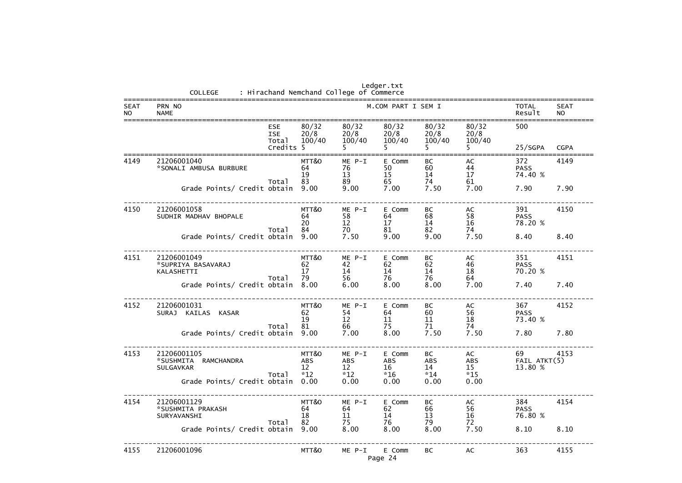| Ledger.txt<br>: Hirachand Nemchand College of Commerce<br>COLLEGE |                                                                                                 |                                            |                                             |                                             |                                         |                                         |                               |             |
|-------------------------------------------------------------------|-------------------------------------------------------------------------------------------------|--------------------------------------------|---------------------------------------------|---------------------------------------------|-----------------------------------------|-----------------------------------------|-------------------------------|-------------|
| <b>SEAT</b><br><b>NO</b>                                          | PRN NO<br><b>NAME</b>                                                                           |                                            | TOTAL<br>Result                             | <b>SEAT</b><br><b>NO</b>                    |                                         |                                         |                               |             |
|                                                                   | <b>ESE</b><br><b>ISE</b><br>Total<br>Credits 5                                                  | 80/32<br>20/8<br>100/40                    | 80/32<br>20/8<br>100/40<br>5.               | 80/32<br>20/8<br>100/40                     | 80/32<br>20/8<br>100/40<br>5.           | 80/32<br>20/8<br>100/40                 | 500<br>25/SGPA                | <b>CGPA</b> |
| 4149                                                              | 21206001040<br>*SONALI AMBUSA BURBURE<br>Total                                                  | MTT&O<br>64<br>19<br>83                    | ME P-I<br>76<br>13<br>89                    | E Comm<br>50<br>15<br>65                    | BC<br>60<br>14<br>74                    | AC<br>44<br>17<br>61                    | 372<br><b>PASS</b><br>74.40 % | 4149        |
|                                                                   | Grade Points/ Credit obtain                                                                     | 9.00                                       | 9.00                                        | 7.00                                        | 7.50                                    | 7.00                                    | 7.90                          | 7.90        |
| 4150                                                              | 21206001058<br>SUDHIR MADHAV BHOPALE                                                            | MTT&O<br>64<br>20                          | ME P-I<br>58<br>12                          | E Comm<br>64<br>17                          | BC<br>68<br>14                          | AC<br>58<br>16                          | 391<br><b>PASS</b><br>78.20 % | 4150        |
|                                                                   | Total<br>Grade Points/ Credit obtain                                                            | 84<br>9.00                                 | 70<br>7.50                                  | 81<br>9.00                                  | 82<br>9.00                              | 74<br>7.50                              | 8.40                          | 8.40        |
| 4151                                                              | 21206001049<br>*SUPRIYA BASAVARAJ<br>KALASHETTI<br>Total                                        | MTT&O<br>62<br>17<br>79                    | ME P-I<br>42<br>14<br>56                    | E Comm<br>62<br>14<br>76                    | BC<br>62<br>14<br>76                    | AC<br>46<br>18<br>64                    | 351<br><b>PASS</b><br>70.20 % | 4151        |
|                                                                   | Grade Points/ Credit obtain                                                                     | 8.00                                       | 6.00                                        | 8.00                                        | 8.00                                    | 7.00                                    | 7.40                          | 7.40        |
| 4152                                                              | 21206001031<br>SURAJ KAILAS KASAR                                                               | MTT&O<br>62<br>19                          | ME P-I<br>54<br>12                          | E Comm<br>64<br><b>11</b>                   | BC<br>60<br>11                          | AC<br>56<br>18                          | 367<br><b>PASS</b><br>73.40 % | 4152        |
|                                                                   | Total<br>Grade Points/ Credit obtain 9.00                                                       | 81                                         | 66<br>7.00                                  | 75<br>8.00                                  | 71<br>7.50                              | 74<br>7.50                              | 7.80                          | 7.80        |
| 4153                                                              | 21206001105<br>*SUSHMITA RAMCHANDRA<br><b>SULGAVKAR</b><br>Total<br>Grade Points/ Credit obtain | MTT&O<br><b>ABS</b><br>12<br>$*12$<br>0.00 | ME P-I<br><b>ABS</b><br>12<br>$*12$<br>0.00 | E Comm<br><b>ABS</b><br>16<br>$*16$<br>0.00 | BC<br><b>ABS</b><br>14<br>$*14$<br>0.00 | AC<br><b>ABS</b><br>15<br>$*15$<br>0.00 | 69<br>FAIL ATKT(5)<br>13.80 % | 4153        |
| 4154                                                              | 21206001129<br>*SUSHMITA PRAKASH<br>SURYAVANSHI<br>Total                                        | MTT&O<br>64<br>18<br>82                    | ME P-I<br>64<br>11<br>75                    | E Comm<br>62<br>14<br>76                    | BC<br>66<br>13<br>79                    | AC<br>56<br>16<br>72                    | 384<br><b>PASS</b><br>76.80 % | 4154        |
|                                                                   | Grade Points/ Credit obtain                                                                     | 9.00                                       | 8.00                                        | 8.00                                        | 8.00                                    | 7.50                                    | 8.10                          | 8.10        |
| 4155                                                              | 21206001096                                                                                     | MTT&O                                      | ME P-I                                      | E Comm<br>Page 24                           | BC                                      | AC                                      | 363                           | 4155        |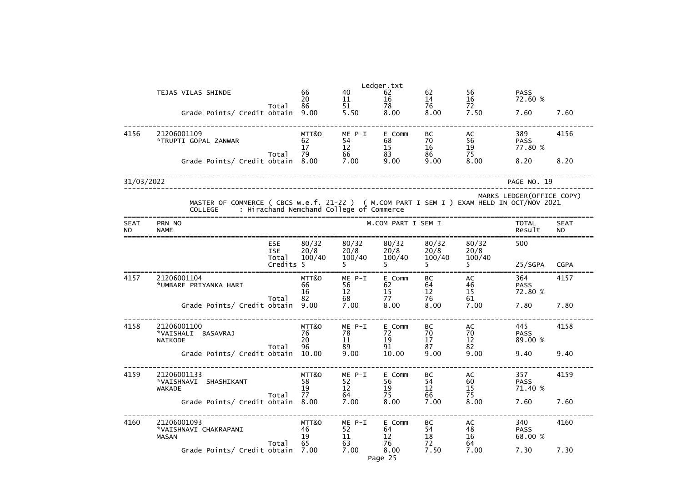|                          | Ledger.txt                                                                                                  |                                   |                               |                                          |                                           |                             |                         |                               |                          |  |
|--------------------------|-------------------------------------------------------------------------------------------------------------|-----------------------------------|-------------------------------|------------------------------------------|-------------------------------------------|-----------------------------|-------------------------|-------------------------------|--------------------------|--|
|                          | TEJAS VILAS SHINDE                                                                                          | Total                             | 66<br>20<br>86                | 40<br>11<br>51                           | 62<br>16<br>78                            | 62<br>14<br>76              | 56<br>16<br>72          | <b>PASS</b><br>72.60 %        |                          |  |
|                          | Grade Points/ Credit obtain                                                                                 |                                   | 9.00                          | 5.50                                     | 8.00                                      | 8.00                        | 7.50                    | 7.60                          | 7.60                     |  |
| 4156                     | 21206001109<br>*TRUPTI GOPAL ZANWAR                                                                         | Total                             | MTT&O<br>62<br>17<br>79       | $ME P-I$<br>54<br>12<br>66               | E Comm<br>68<br>15<br>83                  | BC<br>70<br>16<br>86        | AC<br>56<br>19<br>75    | 389<br><b>PASS</b><br>77.80 % | 4156                     |  |
|                          | Grade Points/ Credit obtain                                                                                 |                                   | 8.00                          | 7.00                                     | 9.00                                      | 9.00                        | 8.00                    | 8.20                          | 8.20                     |  |
| 31/03/2022               |                                                                                                             |                                   |                               |                                          |                                           |                             |                         | PAGE NO. 19                   |                          |  |
|                          | MASTER OF COMMERCE ( CBCS w.e.f. 21-22 ) ( M.COM PART I SEM I ) EXAM HELD IN OCT/NOV 2021<br><b>COLLEGE</b> |                                   |                               | : Hirachand Nemchand College of Commerce |                                           |                             |                         | MARKS LEDGER (OFFICE COPY)    |                          |  |
| <b>SEAT</b><br><b>NO</b> | PRN NO<br><b>NAME</b>                                                                                       |                                   |                               |                                          | M.COM PART I SEM I                        |                             |                         | <b>TOTAL</b><br>Result        | <b>SEAT</b><br><b>NO</b> |  |
|                          |                                                                                                             | <b>ESE</b><br><b>ISE</b><br>Total | 80/32<br>20/8<br>100/40       | 80/32<br>20/8<br>100/40                  | 80/32<br>20/8<br>100/40                   | 80/32<br>20/8<br>100/40     | 80/32<br>20/8<br>100/40 | 500                           |                          |  |
|                          |                                                                                                             | Credits 5                         |                               |                                          |                                           |                             |                         | 25/SGPA                       | <b>CGPA</b>              |  |
| 4157                     | 21206001104<br>*UMBARE PRIYANKA HARI                                                                        | Total                             | MTT&O<br>66<br>16<br>82       | $ME P-I$<br>56<br>12<br>68               | E Comm<br>62<br>15<br>77                  | BC<br>64<br>12<br>76        | AC<br>46<br>15<br>61    | 364<br><b>PASS</b><br>72.80 % | 4157                     |  |
|                          | Grade Points/ Credit obtain                                                                                 |                                   | 9.00                          | 7.00                                     | 8.00                                      | 8.00                        | 7.00                    | 7.80                          | 7.80                     |  |
| 4158                     | 21206001100<br>*VAISHALI BASAVRAJ<br>NAIKODE                                                                | Total                             | MTT&O<br>76<br>20<br>96 —     | $ME$ $P-I$<br>78<br>11<br>89             | E Comm<br>72<br>19<br>91                  | BC<br>70<br>17<br>87        | AC<br>70<br>12<br>82    | 445<br><b>PASS</b><br>89.00 % | 4158                     |  |
|                          | Grade Points/ Credit obtain 10.00                                                                           |                                   |                               | 9.00                                     | 10.00                                     | 9.00                        | 9.00                    | 9.40                          | 9.40                     |  |
| 4159                     | 21206001133<br>*VAISHNAVI SHASHIKANT<br><b>WAKADE</b>                                                       | Total                             | MTT&O<br>58<br>19<br>77 — 200 | ME P-I<br>52<br>12<br>64 7               | E Comm<br>56<br>19<br>75                  | BC<br>$\frac{54}{12}$<br>66 | AC<br>60<br>15<br>75    | 357<br><b>PASS</b><br>71.40 % | 4159                     |  |
|                          | Grade Points/ Credit obtain 8.00                                                                            |                                   |                               | 7.00                                     | 8.00                                      | 7.00                        | 8.00                    | 7.60                          | 7.60                     |  |
| 4160                     | 21206001093<br>*VAISHNAVI CHAKRAPANI<br><b>MASAN</b>                                                        | Total                             | MTT&O<br>46<br>19             | ME P-I<br>52<br>11<br>63                 | E Comm<br>64<br>$12 \overline{ }$<br>76 — | BC<br>54<br>18<br>72        | AC<br>48<br>16<br>64    | 340<br><b>PASS</b><br>68.00 % | 4160                     |  |
|                          | Grade Points/ Credit obtain 7.00                                                                            |                                   |                               | 7.00                                     | 8.00<br>Page 25                           | 7.50                        | 7.00                    | 7.30                          | 7.30                     |  |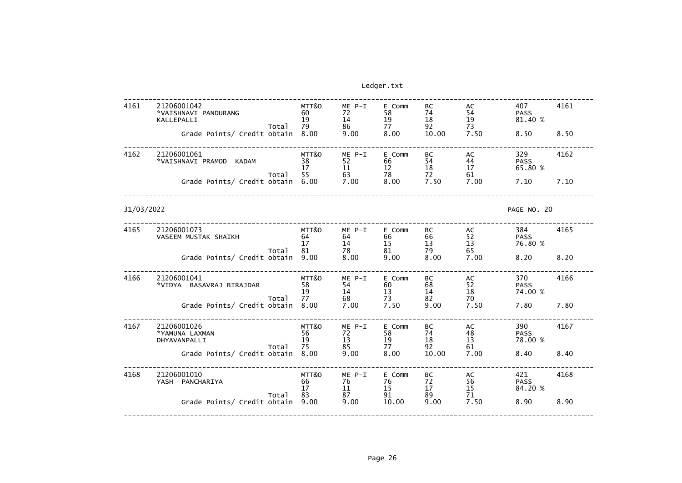| 4161       | 21206001042<br>*VAISHNAVI PANDURANG<br>KALLEPALLI<br>Total<br>Grade Points/ Credit obtain | MTT&O<br>60<br>19<br>79<br>8.00 | ME P-I<br>72<br>14<br>86<br>9.00 | E Comm<br>58<br>19<br>77<br>8.00 | BC<br>74<br>18<br>92<br>10.00 | AC<br>54<br>19<br>73<br>7.50 | 407<br><b>PASS</b><br>81.40 %<br>8.50 | 4161<br>8.50 |
|------------|-------------------------------------------------------------------------------------------|---------------------------------|----------------------------------|----------------------------------|-------------------------------|------------------------------|---------------------------------------|--------------|
| 4162       | 21206001061<br>*VAISHNAVI PRAMOD KADAM<br>Total<br>Grade Points/ Credit obtain            | MTT&O<br>38<br>17<br>55<br>6.00 | ME P-I<br>52<br>11<br>63<br>7.00 | E Comm<br>66<br>12<br>78<br>8.00 | BC<br>54<br>18<br>72<br>7.50  | AC<br>44<br>17<br>61<br>7.00 | 329<br><b>PASS</b><br>65.80 %<br>7.10 | 4162<br>7.10 |
| 31/03/2022 |                                                                                           |                                 |                                  |                                  |                               |                              | PAGE NO. 20                           |              |
| 4165       | 21206001073<br>VASEEM MUSTAK SHAIKH<br>Total                                              | MTT&O<br>64<br>17<br>81         | ME P-I<br>64<br>14<br>78         | E Comm<br>66<br>15<br>81         | BC<br>66<br>13<br>79          | AC<br>52<br>13<br>65         | 384<br><b>PASS</b><br>76.80 %         | 4165         |
|            | Grade Points/ Credit obtain                                                               | 9.00                            | 8.00                             | 9.00                             | 8.00                          | 7.00                         | 8.20                                  | 8.20         |
| 4166       | 21206001041<br>*VIDYA BASAVRAJ BIRAJDAR                                                   | MTT&O<br>58<br>19               | $ME P-I$<br>54<br>14             | E Comm<br>60<br>13               | BC<br>68<br>14                | AC<br>52<br>18               | 370<br><b>PASS</b><br>74.00 %         | 4166         |
|            | Total<br>Grade Points/ Credit obtain                                                      | 77<br>8.00                      | 68<br>7.00                       | 73<br>7.50                       | 82<br>9.00                    | 70<br>7.50                   | 7.80                                  | 7.80         |
| 4167       | 21206001026<br>*YAMUNA LAXMAN<br>DHYAVANPALLI                                             | MTT&O<br>56<br>19               | ME P-I<br>72<br>13               | E Comm<br>58<br>19               | BC<br>74<br>18                | AC<br>48<br>13               | 390<br><b>PASS</b><br>78.00 %         | 4167         |
|            | Total<br>Grade Points/ Credit obtain 8.00                                                 | 75                              | 85<br>9.00                       | 77<br>8.00                       | 92<br>10.00                   | 61<br>7.00                   | 8.40                                  | 8.40         |
| 4168       | 21206001010<br>YASH PANCHARIYA                                                            | MTT&O<br>66<br>17               | ME P-I<br>76<br>11               | E Comm<br>76<br>15               | BC<br>72<br>17                | AC<br>56<br>$\frac{15}{71}$  | 421<br><b>PASS</b><br>84.20 %         | 4168         |
|            | Total<br>Grade Points/ Credit obtain                                                      | 83<br>9.00                      | 87<br>9.00                       | 91<br>10.00                      | 89<br>9.00                    | 7.50                         | 8.90                                  | 8.90         |